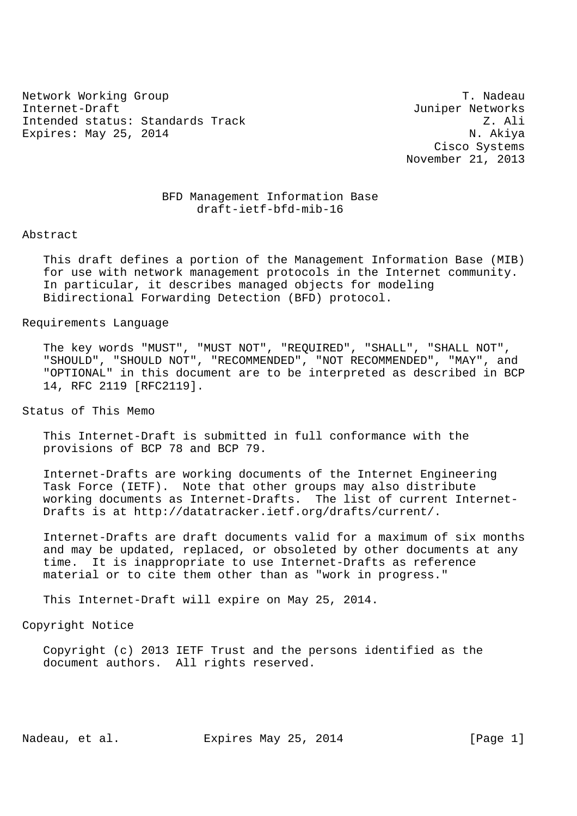Network Working Group Theory of the Contract of the Contract of the T. Nadeau Internet-Draft Juniper Networks Intended status: Standards Track Z. Ali Expires: May 25, 2014 N. Akiya

 Cisco Systems November 21, 2013

# BFD Management Information Base draft-ietf-bfd-mib-16

#### Abstract

 This draft defines a portion of the Management Information Base (MIB) for use with network management protocols in the Internet community. In particular, it describes managed objects for modeling Bidirectional Forwarding Detection (BFD) protocol.

### Requirements Language

 The key words "MUST", "MUST NOT", "REQUIRED", "SHALL", "SHALL NOT", "SHOULD", "SHOULD NOT", "RECOMMENDED", "NOT RECOMMENDED", "MAY", and "OPTIONAL" in this document are to be interpreted as described in BCP 14, RFC 2119 [RFC2119].

Status of This Memo

 This Internet-Draft is submitted in full conformance with the provisions of BCP 78 and BCP 79.

 Internet-Drafts are working documents of the Internet Engineering Task Force (IETF). Note that other groups may also distribute working documents as Internet-Drafts. The list of current Internet- Drafts is at http://datatracker.ietf.org/drafts/current/.

 Internet-Drafts are draft documents valid for a maximum of six months and may be updated, replaced, or obsoleted by other documents at any time. It is inappropriate to use Internet-Drafts as reference material or to cite them other than as "work in progress."

This Internet-Draft will expire on May 25, 2014.

### Copyright Notice

 Copyright (c) 2013 IETF Trust and the persons identified as the document authors. All rights reserved.

Nadeau, et al. Expires May 25, 2014 [Page 1]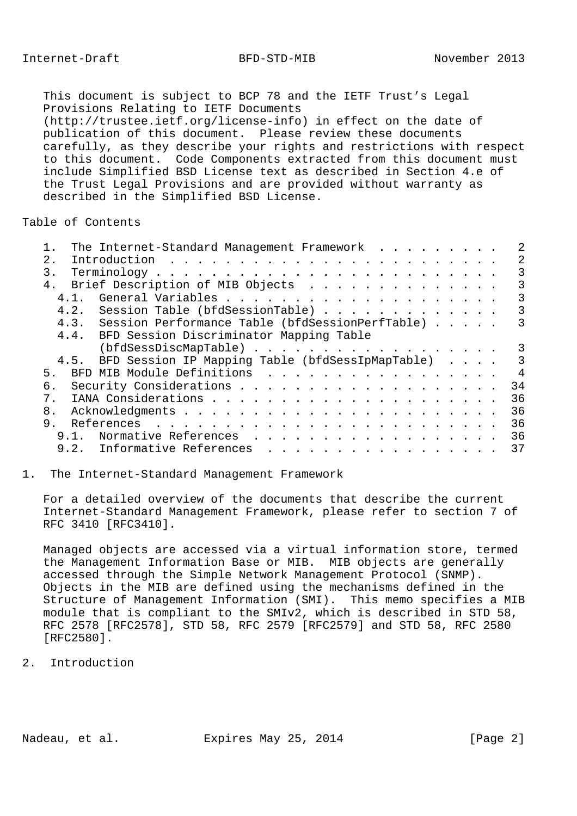This document is subject to BCP 78 and the IETF Trust's Legal Provisions Relating to IETF Documents (http://trustee.ietf.org/license-info) in effect on the date of publication of this document. Please review these documents carefully, as they describe your rights and restrictions with respect to this document. Code Components extracted from this document must include Simplified BSD License text as described in Section 4.e of the Trust Legal Provisions and are provided without warranty as described in the Simplified BSD License.

Table of Contents

| The Internet-Standard Management Framework            |                |
|-------------------------------------------------------|----------------|
| 2.                                                    | 2              |
| 3.                                                    | 3              |
| 4. Brief Description of MIB Objects                   | 3              |
| 4.1                                                   | 3              |
| 4.2. Session Table (bfdSessionTable)                  | 3              |
| 4.3. Session Performance Table (bfdSessionPerfTable)  | 3              |
| 4.4. BFD Session Discriminator Mapping Table          |                |
| (bfdSessDiscMapTable)                                 | 3              |
| 4.5. BFD Session IP Mapping Table (bfdSessIpMapTable) | 3              |
| 5 <sub>1</sub>                                        | $\overline{4}$ |
| б.                                                    | 34             |
| $7_{\odot}$                                           | 36             |
| 8.                                                    | 36             |
| 9.                                                    | 36             |
| 9.1. Normative References                             | 36             |
| 9.2. Informative References                           | 37             |
|                                                       |                |

#### 1. The Internet-Standard Management Framework

 For a detailed overview of the documents that describe the current Internet-Standard Management Framework, please refer to section 7 of RFC 3410 [RFC3410].

 Managed objects are accessed via a virtual information store, termed the Management Information Base or MIB. MIB objects are generally accessed through the Simple Network Management Protocol (SNMP). Objects in the MIB are defined using the mechanisms defined in the Structure of Management Information (SMI). This memo specifies a MIB module that is compliant to the SMIv2, which is described in STD 58, RFC 2578 [RFC2578], STD 58, RFC 2579 [RFC2579] and STD 58, RFC 2580 [RFC2580].

2. Introduction

Nadeau, et al. Expires May 25, 2014 [Page 2]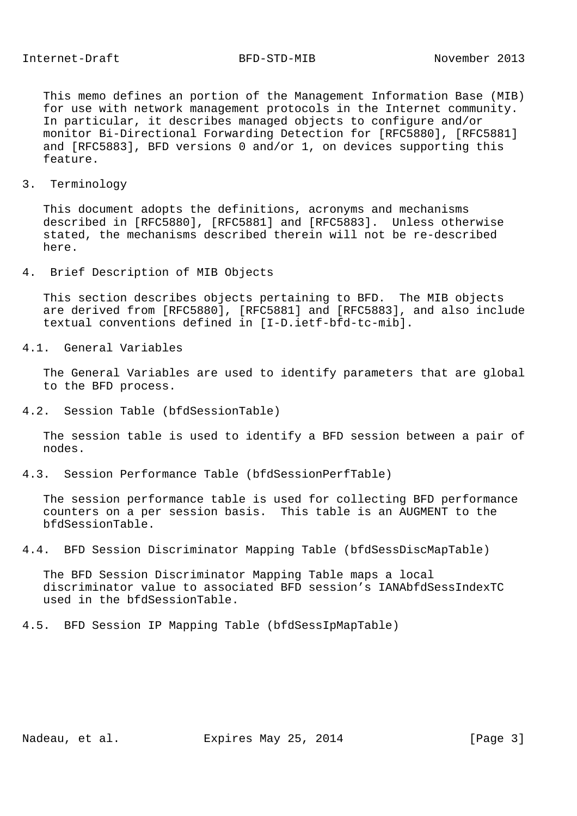This memo defines an portion of the Management Information Base (MIB) for use with network management protocols in the Internet community. In particular, it describes managed objects to configure and/or monitor Bi-Directional Forwarding Detection for [RFC5880], [RFC5881] and [RFC5883], BFD versions 0 and/or 1, on devices supporting this feature.

#### 3. Terminology

 This document adopts the definitions, acronyms and mechanisms described in [RFC5880], [RFC5881] and [RFC5883]. Unless otherwise stated, the mechanisms described therein will not be re-described here.

4. Brief Description of MIB Objects

 This section describes objects pertaining to BFD. The MIB objects are derived from [RFC5880], [RFC5881] and [RFC5883], and also include textual conventions defined in [I-D.ietf-bfd-tc-mib].

4.1. General Variables

 The General Variables are used to identify parameters that are global to the BFD process.

4.2. Session Table (bfdSessionTable)

 The session table is used to identify a BFD session between a pair of nodes.

4.3. Session Performance Table (bfdSessionPerfTable)

 The session performance table is used for collecting BFD performance counters on a per session basis. This table is an AUGMENT to the bfdSessionTable.

4.4. BFD Session Discriminator Mapping Table (bfdSessDiscMapTable)

 The BFD Session Discriminator Mapping Table maps a local discriminator value to associated BFD session's IANAbfdSessIndexTC used in the bfdSessionTable.

4.5. BFD Session IP Mapping Table (bfdSessIpMapTable)

Nadeau, et al. Expires May 25, 2014 [Page 3]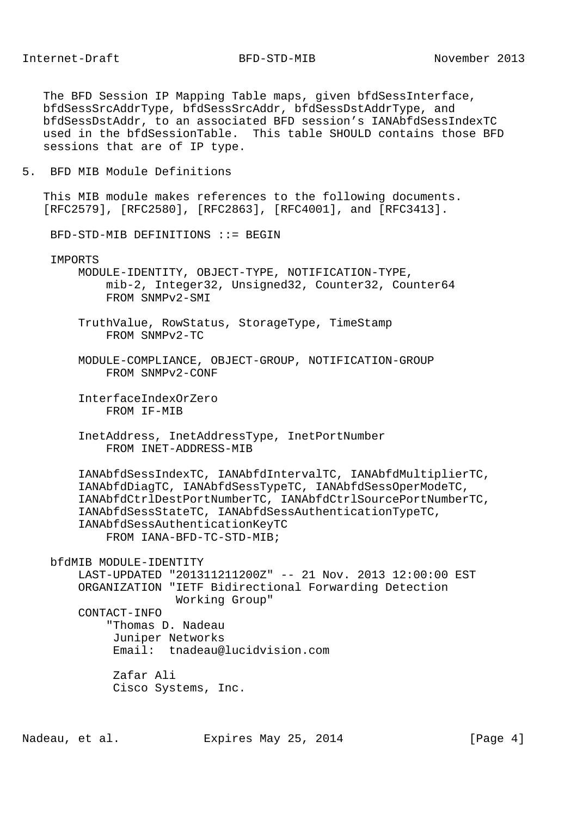The BFD Session IP Mapping Table maps, given bfdSessInterface, bfdSessSrcAddrType, bfdSessSrcAddr, bfdSessDstAddrType, and bfdSessDstAddr, to an associated BFD session's IANAbfdSessIndexTC used in the bfdSessionTable. This table SHOULD contains those BFD sessions that are of IP type.

5. BFD MIB Module Definitions

 This MIB module makes references to the following documents. [RFC2579], [RFC2580], [RFC2863], [RFC4001], and [RFC3413].

BFD-STD-MIB DEFINITIONS ::= BEGIN

IMPORTS

 MODULE-IDENTITY, OBJECT-TYPE, NOTIFICATION-TYPE, mib-2, Integer32, Unsigned32, Counter32, Counter64 FROM SNMPv2-SMI

 TruthValue, RowStatus, StorageType, TimeStamp FROM SNMPv2-TC

- MODULE-COMPLIANCE, OBJECT-GROUP, NOTIFICATION-GROUP FROM SNMPv2-CONF
- InterfaceIndexOrZero FROM IF-MIB
- InetAddress, InetAddressType, InetPortNumber FROM INET-ADDRESS-MIB

 IANAbfdSessIndexTC, IANAbfdIntervalTC, IANAbfdMultiplierTC, IANAbfdDiagTC, IANAbfdSessTypeTC, IANAbfdSessOperModeTC, IANAbfdCtrlDestPortNumberTC, IANAbfdCtrlSourcePortNumberTC, IANAbfdSessStateTC, IANAbfdSessAuthenticationTypeTC, IANAbfdSessAuthenticationKeyTC FROM IANA-BFD-TC-STD-MIB;

 bfdMIB MODULE-IDENTITY LAST-UPDATED "201311211200Z" -- 21 Nov. 2013 12:00:00 EST ORGANIZATION "IETF Bidirectional Forwarding Detection Working Group" CONTACT-INFO

 "Thomas D. Nadeau Juniper Networks Email: tnadeau@lucidvision.com

 Zafar Ali Cisco Systems, Inc.

Nadeau, et al. Expires May 25, 2014 [Page 4]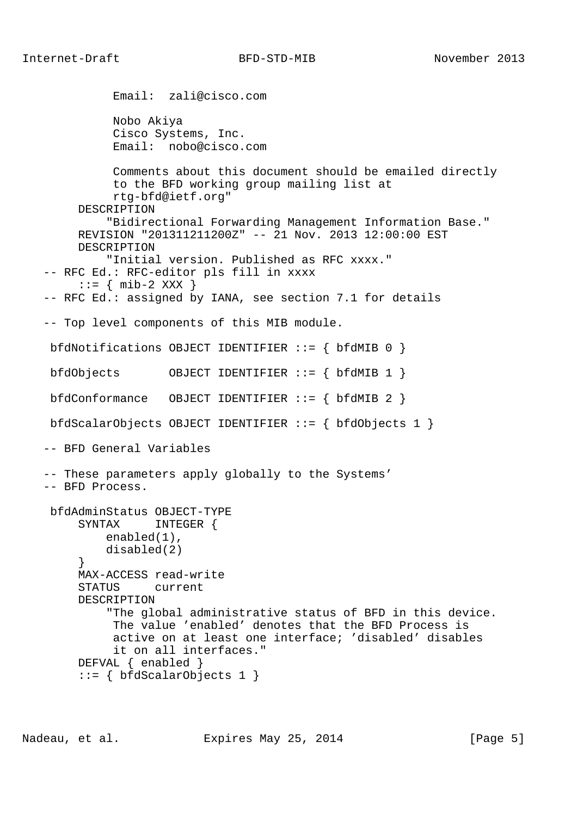```
 Email: zali@cisco.com
              Nobo Akiya
              Cisco Systems, Inc.
              Email: nobo@cisco.com
              Comments about this document should be emailed directly
              to the BFD working group mailing list at
              rtg-bfd@ietf.org"
        DESCRIPTION
             "Bidirectional Forwarding Management Information Base."
         REVISION "201311211200Z" -- 21 Nov. 2013 12:00:00 EST
         DESCRIPTION
             "Initial version. Published as RFC xxxx."
   -- RFC Ed.: RFC-editor pls fill in xxxx
       \cdot := \{ \text{min-2 XXX } \} -- RFC Ed.: assigned by IANA, see section 7.1 for details
   -- Top level components of this MIB module.
   bfdNotifications OBJECT IDENTIFIER ::= { bfdMIB 0 }
    bfdObjects OBJECT IDENTIFIER ::= { bfdMIB 1 }
    bfdConformance OBJECT IDENTIFIER ::= { bfdMIB 2 }
    bfdScalarObjects OBJECT IDENTIFIER ::= { bfdObjects 1 }
   -- BFD General Variables
   -- These parameters apply globally to the Systems'
   -- BFD Process.
    bfdAdminStatus OBJECT-TYPE
         SYNTAX INTEGER {
            enabled(1),
            disabled(2)
 }
         MAX-ACCESS read-write
         STATUS current
         DESCRIPTION
             "The global administrative status of BFD in this device.
              The value 'enabled' denotes that the BFD Process is
              active on at least one interface; 'disabled' disables
             it on all interfaces."
        DEFVAL { enabled }
        ::= \{ bfdScalarObjects 1 \}
```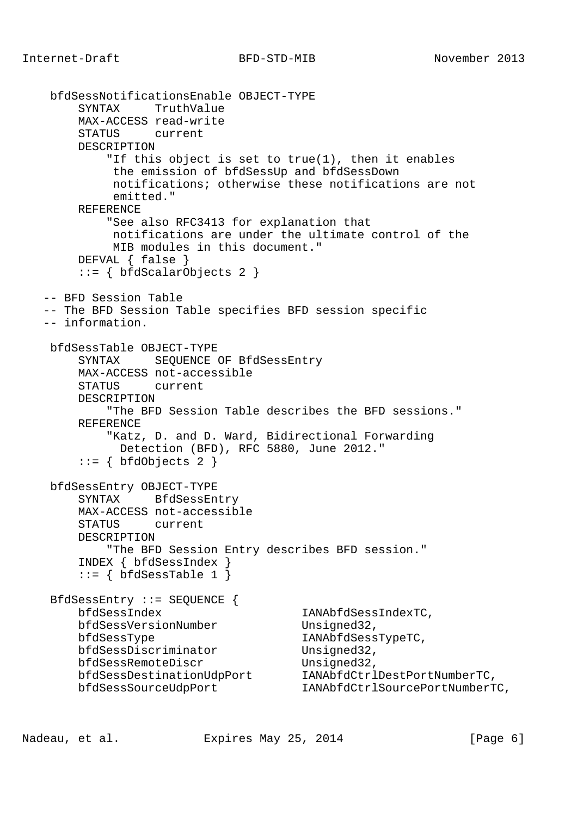```
 bfdSessNotificationsEnable OBJECT-TYPE
        SYNTAX TruthValue
        MAX-ACCESS read-write
        STATUS current
        DESCRIPTION
            "If this object is set to true(1), then it enables
             the emission of bfdSessUp and bfdSessDown
             notifications; otherwise these notifications are not
             emitted."
        REFERENCE
            "See also RFC3413 for explanation that
            notifications are under the ultimate control of the
            MIB modules in this document."
        DEFVAL { false }
       ::= { bfdScalarObjects 2 }
   -- BFD Session Table
   -- The BFD Session Table specifies BFD session specific
   -- information.
    bfdSessTable OBJECT-TYPE
        SYNTAX SEQUENCE OF BfdSessEntry
        MAX-ACCESS not-accessible
        STATUS current
        DESCRIPTION
            "The BFD Session Table describes the BFD sessions."
        REFERENCE
            "Katz, D. and D. Ward, Bidirectional Forwarding
              Detection (BFD), RFC 5880, June 2012."
       ::= { bfdObjects 2 }
    bfdSessEntry OBJECT-TYPE
        SYNTAX BfdSessEntry
        MAX-ACCESS not-accessible
        STATUS current
        DESCRIPTION
            "The BFD Session Entry describes BFD session."
        INDEX { bfdSessIndex }
        ::= { bfdSessTable 1 }
    BfdSessEntry ::= SEQUENCE {
        bfdSessIndex IANAbfdSessIndexTC,
        bfdSessVersionNumber Unsigned32,
       bfdSessType IANAbfdSessTypeTC,
        bfdSessDiscriminator Unsigned32,
       bfdSessRemoteDiscr Unsigned32,
 bfdSessDestinationUdpPort IANAbfdCtrlDestPortNumberTC,
 bfdSessSourceUdpPort IANAbfdCtrlSourcePortNumberTC,
```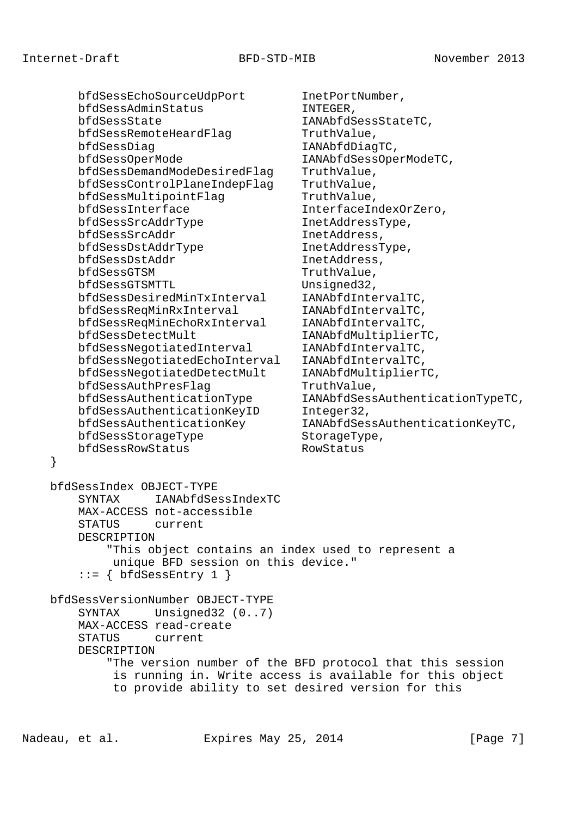bfdSessEchoSourceUdpPort InetPortNumber, bfdSessAdminStatus INTEGER, bfdSessState IANAbfdSessStateTC, bfdSessRemoteHeardFlag TruthValue, bfdSessDiag IANAbfdDiagTC, bfdSessOperMode IANAbfdSessOperModeTC, bfdSessDemandModeDesiredFlag TruthValue,<br>bfdSessControlPlaneIndepFlag TruthValue, bfdSessControlPlaneIndepFlag bfdSessMultipointFlag TruthValue, bfdSessInterface InterfaceIndexOrZero, bfdSessSrcAddrType InetAddressType, bfdSessSrcAddr InetAddress, bfdSessDstAddrType InetAddressType, bfdSessDstAddr InetAddress, bfdSessGTSM TruthValue, bfdSessGTSMTTL Unsigned32, bfdSessDesiredMinTxInterval IANAbfdIntervalTC, bfdSessReqMinRxInterval IANAbfdIntervalTC, bfdSessReqMinEchoRxInterval IANAbfdIntervalTC, bfdSessDetectMult IANAbfdMultiplierTC, bfdSessNegotiatedInterval IANAbfdIntervalTC, bfdSessNegotiatedEchoInterval IANAbfdIntervalTC, bfdSessNegotiatedDetectMult IANAbfdMultiplierTC, bfdSessAuthPresFlag TruthValue, bfdSessAuthenticationType IANAbfdSessAuthenticationTypeTC, bfdSessAuthenticationKeyID Integer32, bfdSessAuthenticationKey IANAbfdSessAuthenticationKeyTC, bfdSessStorageType StorageType, bfdSessRowStatus RowStatus } bfdSessIndex OBJECT-TYPE SYNTAX IANAbfdSessIndexTC MAX-ACCESS not-accessible STATUS current DESCRIPTION "This object contains an index used to represent a unique BFD session on this device."  $::= \{ bfdSessEntry 1 \}$  bfdSessVersionNumber OBJECT-TYPE SYNTAX Unsigned32 (0..7) MAX-ACCESS read-create STATUS current

> "The version number of the BFD protocol that this session is running in. Write access is available for this object to provide ability to set desired version for this

DESCRIPTION

Nadeau, et al. Expires May 25, 2014 [Page 7]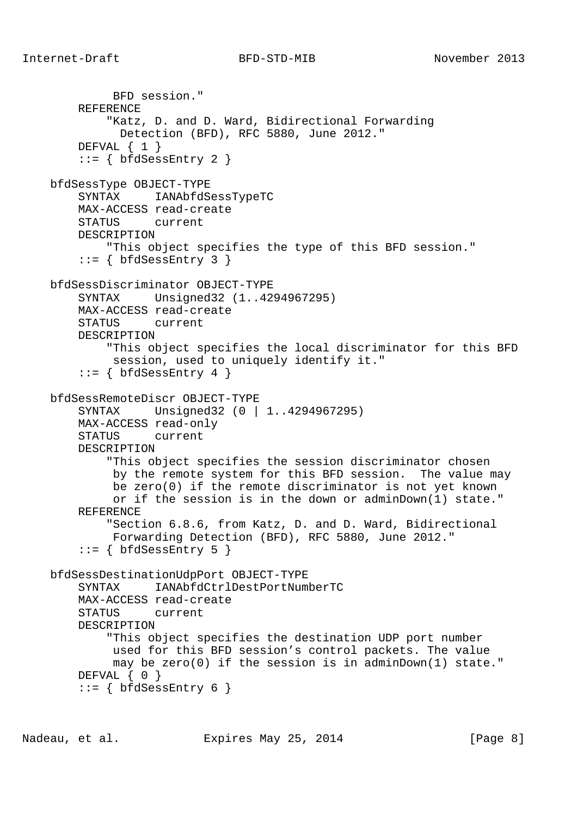REFERENCE

DEFVAL  $\{ 1 \}$ 

BFD session."

```
Internet-Draft BFD-STD-MIB November 2013
          "Katz, D. and D. Ward, Bidirectional Forwarding
            Detection (BFD), RFC 5880, June 2012."
```

```
::= { bfdSessEntry 2 }
 bfdSessType OBJECT-TYPE
     SYNTAX IANAbfdSessTypeTC
     MAX-ACCESS read-create
     STATUS current
     DESCRIPTION
         "This object specifies the type of this BFD session."
    ::= { bfdSessEntry 3 }
 bfdSessDiscriminator OBJECT-TYPE
     SYNTAX Unsigned32 (1..4294967295)
     MAX-ACCESS read-create
     STATUS current
     DESCRIPTION
         "This object specifies the local discriminator for this BFD
          session, used to uniquely identify it."
    ::= { bfdSessEntry 4 }
 bfdSessRemoteDiscr OBJECT-TYPE
     SYNTAX Unsigned32 (0 | 1..4294967295)
     MAX-ACCESS read-only
     STATUS current
     DESCRIPTION
         "This object specifies the session discriminator chosen
          by the remote system for this BFD session. The value may
          be zero(0) if the remote discriminator is not yet known
          or if the session is in the down or adminDown(1) state."
     REFERENCE
         "Section 6.8.6, from Katz, D. and D. Ward, Bidirectional
          Forwarding Detection (BFD), RFC 5880, June 2012."
    ::= { bfdSessEntry 5 }
 bfdSessDestinationUdpPort OBJECT-TYPE
     SYNTAX IANAbfdCtrlDestPortNumberTC
     MAX-ACCESS read-create
     STATUS current
     DESCRIPTION
         "This object specifies the destination UDP port number
          used for this BFD session's control packets. The value
          may be zero(0) if the session is in adminDown(1) state."
    DEFVAL { 0 }
```
 $::=$  { bfdSessEntry 6 }

Nadeau, et al. Expires May 25, 2014 [Page 8]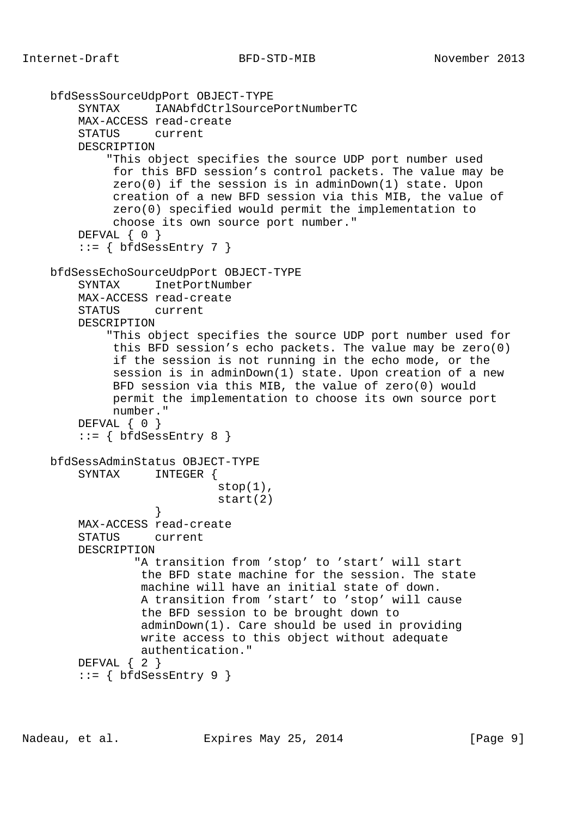```
 bfdSessSourceUdpPort OBJECT-TYPE
        SYNTAX IANAbfdCtrlSourcePortNumberTC
        MAX-ACCESS read-create
        STATUS current
        DESCRIPTION
             "This object specifies the source UDP port number used
             for this BFD session's control packets. The value may be
              zero(0) if the session is in adminDown(1) state. Upon
             creation of a new BFD session via this MIB, the value of
             zero(0) specified would permit the implementation to
             choose its own source port number."
       DEFVAL { 0 }
        ::= { bfdSessEntry 7 }
    bfdSessEchoSourceUdpPort OBJECT-TYPE
       SYNTAX InetPortNumber
        MAX-ACCESS read-create
        STATUS current
        DESCRIPTION
             "This object specifies the source UDP port number used for
             this BFD session's echo packets. The value may be zero(0)
             if the session is not running in the echo mode, or the
             session is in adminDown(1) state. Upon creation of a new
             BFD session via this MIB, the value of zero(0) would
             permit the implementation to choose its own source port
             number."
       DEFVAL { 0 }
         ::= { bfdSessEntry 8 }
    bfdSessAdminStatus OBJECT-TYPE
        SYNTAX INTEGER {
                            stop(1),
                             start(2)
 }
        MAX-ACCESS read-create
        STATUS current
        DESCRIPTION
                 "A transition from 'stop' to 'start' will start
                 the BFD state machine for the session. The state
                 machine will have an initial state of down.
                 A transition from 'start' to 'stop' will cause
                 the BFD session to be brought down to
                  adminDown(1). Care should be used in providing
                 write access to this object without adequate
                 authentication."
       DEFVAL { 2 }
       ::= { bfdSessEntry 9 }
```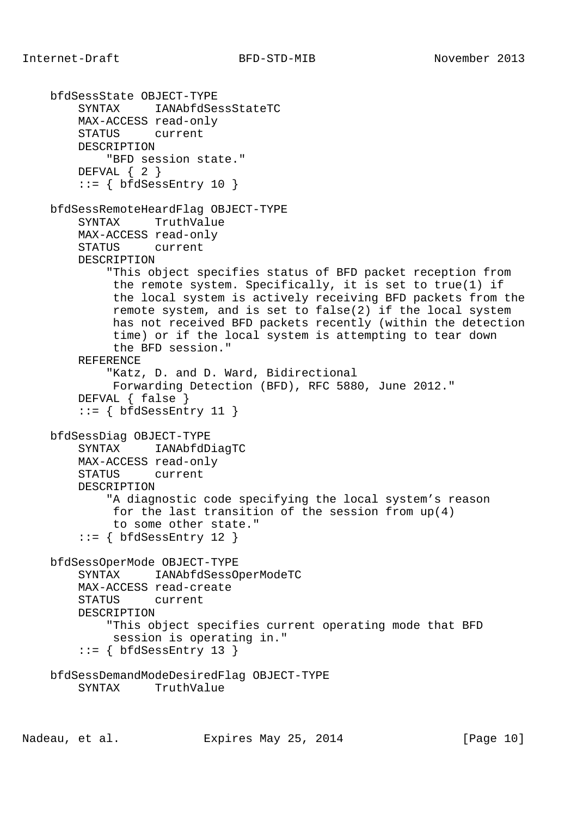```
 bfdSessState OBJECT-TYPE
     SYNTAX IANAbfdSessStateTC
     MAX-ACCESS read-only
     STATUS current
     DESCRIPTION
         "BFD session state."
    DEFVAL \{ 2 \}::= { bfdSessEntry 10 }
 bfdSessRemoteHeardFlag OBJECT-TYPE
     SYNTAX TruthValue
     MAX-ACCESS read-only
     STATUS current
     DESCRIPTION
         "This object specifies status of BFD packet reception from
          the remote system. Specifically, it is set to true(1) if
          the local system is actively receiving BFD packets from the
          remote system, and is set to false(2) if the local system
          has not received BFD packets recently (within the detection
          time) or if the local system is attempting to tear down
          the BFD session."
     REFERENCE
         "Katz, D. and D. Ward, Bidirectional
          Forwarding Detection (BFD), RFC 5880, June 2012."
     DEFVAL { false }
    ::= { bfdSessEntry 11 }
 bfdSessDiag OBJECT-TYPE
     SYNTAX IANAbfdDiagTC
     MAX-ACCESS read-only
     STATUS current
     DESCRIPTION
         "A diagnostic code specifying the local system's reason
          for the last transition of the session from up(4)
          to some other state."
     ::= { bfdSessEntry 12 }
 bfdSessOperMode OBJECT-TYPE
     SYNTAX IANAbfdSessOperModeTC
     MAX-ACCESS read-create
     STATUS current
     DESCRIPTION
         "This object specifies current operating mode that BFD
          session is operating in."
    ::= { bfdSessEntry 13 }
 bfdSessDemandModeDesiredFlag OBJECT-TYPE
     SYNTAX TruthValue
```
Nadeau, et al. Expires May 25, 2014 [Page 10]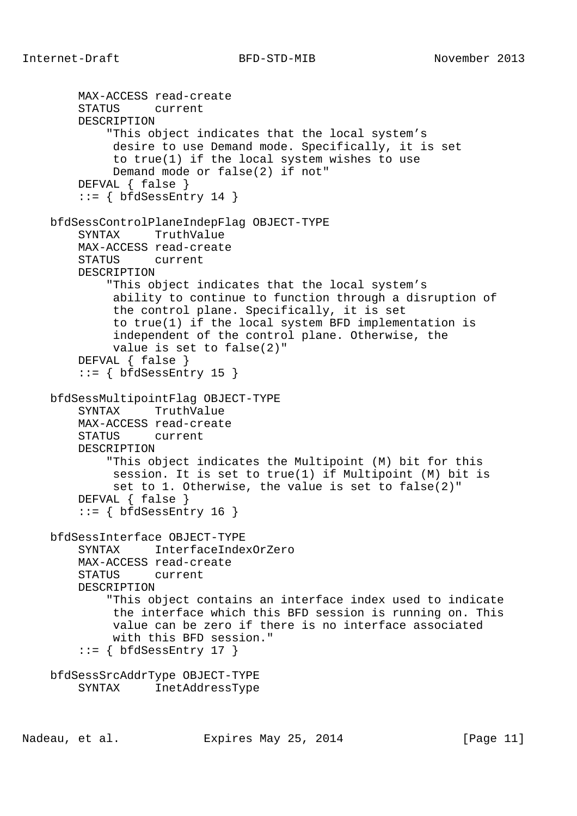```
 MAX-ACCESS read-create
     STATUS current
     DESCRIPTION
         "This object indicates that the local system's
          desire to use Demand mode. Specifically, it is set
          to true(1) if the local system wishes to use
          Demand mode or false(2) if not"
     DEFVAL { false }
    ::= { bfdSessEntry 14 }
 bfdSessControlPlaneIndepFlag OBJECT-TYPE
     SYNTAX TruthValue
     MAX-ACCESS read-create
     STATUS current
     DESCRIPTION
         "This object indicates that the local system's
          ability to continue to function through a disruption of
          the control plane. Specifically, it is set
          to true(1) if the local system BFD implementation is
          independent of the control plane. Otherwise, the
          value is set to false(2)"
     DEFVAL { false }
    ::= { bfdSessEntry 15 }
 bfdSessMultipointFlag OBJECT-TYPE
     SYNTAX TruthValue
     MAX-ACCESS read-create
     STATUS current
     DESCRIPTION
         "This object indicates the Multipoint (M) bit for this
          session. It is set to true(1) if Multipoint (M) bit is
          set to 1. Otherwise, the value is set to false(2)"
     DEFVAL { false }
    ::= { bfdSessEntry 16 }
 bfdSessInterface OBJECT-TYPE
     SYNTAX InterfaceIndexOrZero
     MAX-ACCESS read-create
     STATUS current
     DESCRIPTION
         "This object contains an interface index used to indicate
          the interface which this BFD session is running on. This
          value can be zero if there is no interface associated
          with this BFD session."
    ::= { bfdSessEntry 17 }
 bfdSessSrcAddrType OBJECT-TYPE
     SYNTAX InetAddressType
```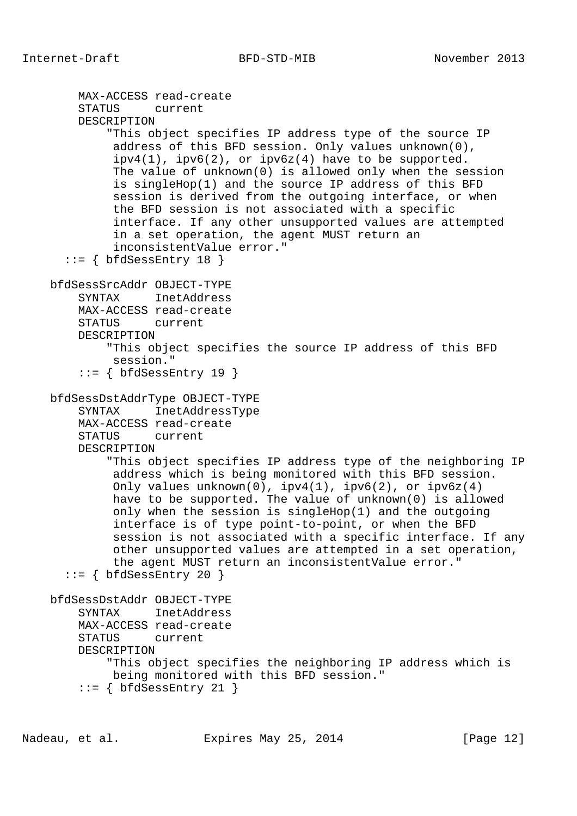```
 MAX-ACCESS read-create
     STATUS current
     DESCRIPTION
         "This object specifies IP address type of the source IP
          address of this BFD session. Only values unknown(0),
         ipv4(1), ipv6(2), or ipv6z(4) have to be supported.
          The value of unknown(0) is allowed only when the session
          is singleHop(1) and the source IP address of this BFD
          session is derived from the outgoing interface, or when
          the BFD session is not associated with a specific
          interface. If any other unsupported values are attempted
          in a set operation, the agent MUST return an
          inconsistentValue error."
  ::= { bfdSessEntry 18 }
 bfdSessSrcAddr OBJECT-TYPE
     SYNTAX InetAddress
     MAX-ACCESS read-create
     STATUS current
     DESCRIPTION
         "This object specifies the source IP address of this BFD
          session."
     ::= { bfdSessEntry 19 }
 bfdSessDstAddrType OBJECT-TYPE
     SYNTAX InetAddressType
     MAX-ACCESS read-create
     STATUS current
     DESCRIPTION
         "This object specifies IP address type of the neighboring IP
          address which is being monitored with this BFD session.
         Only values unknown(0), ipv4(1), ipv6(2), or ipv6z(4) have to be supported. The value of unknown(0) is allowed
          only when the session is singleHop(1) and the outgoing
          interface is of type point-to-point, or when the BFD
          session is not associated with a specific interface. If any
          other unsupported values are attempted in a set operation,
          the agent MUST return an inconsistentValue error."
  ::= { bfdSessEntry 20 }
 bfdSessDstAddr OBJECT-TYPE
     SYNTAX InetAddress
     MAX-ACCESS read-create
     STATUS current
     DESCRIPTION
         "This object specifies the neighboring IP address which is
         being monitored with this BFD session."
    ::= { bfdSessEntry 21 }
```
Nadeau, et al. Expires May 25, 2014 [Page 12]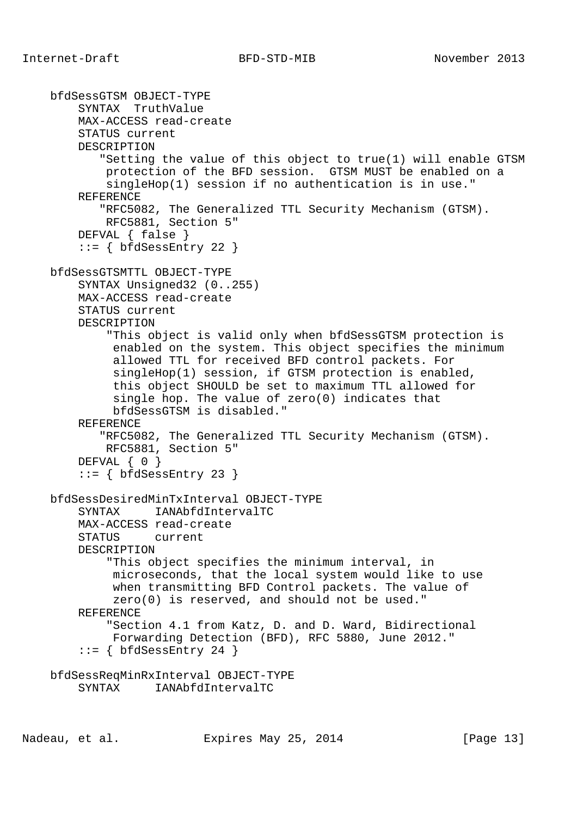bfdSessGTSM OBJECT-TYPE SYNTAX TruthValue MAX-ACCESS read-create STATUS current DESCRIPTION "Setting the value of this object to true(1) will enable GTSM protection of the BFD session. GTSM MUST be enabled on a singleHop(1) session if no authentication is in use." REFERENCE "RFC5082, The Generalized TTL Security Mechanism (GTSM). RFC5881, Section 5" DEFVAL { false }  $::=$  { bfdSessEntry 22 } bfdSessGTSMTTL OBJECT-TYPE SYNTAX Unsigned32 (0..255) MAX-ACCESS read-create STATUS current DESCRIPTION "This object is valid only when bfdSessGTSM protection is enabled on the system. This object specifies the minimum allowed TTL for received BFD control packets. For singleHop(1) session, if GTSM protection is enabled, this object SHOULD be set to maximum TTL allowed for single hop. The value of zero(0) indicates that bfdSessGTSM is disabled." REFERENCE "RFC5082, The Generalized TTL Security Mechanism (GTSM). RFC5881, Section 5" DEFVAL { 0 }  $::=$  { bfdSessEntry 23 } bfdSessDesiredMinTxInterval OBJECT-TYPE SYNTAX IANAbfdIntervalTC MAX-ACCESS read-create STATUS current DESCRIPTION "This object specifies the minimum interval, in microseconds, that the local system would like to use when transmitting BFD Control packets. The value of zero(0) is reserved, and should not be used." REFERENCE "Section 4.1 from Katz, D. and D. Ward, Bidirectional Forwarding Detection (BFD), RFC 5880, June 2012."  $::=$  { bfdSessEntry 24 } bfdSessReqMinRxInterval OBJECT-TYPE SYNTAX **IANAbfdIntervalTC**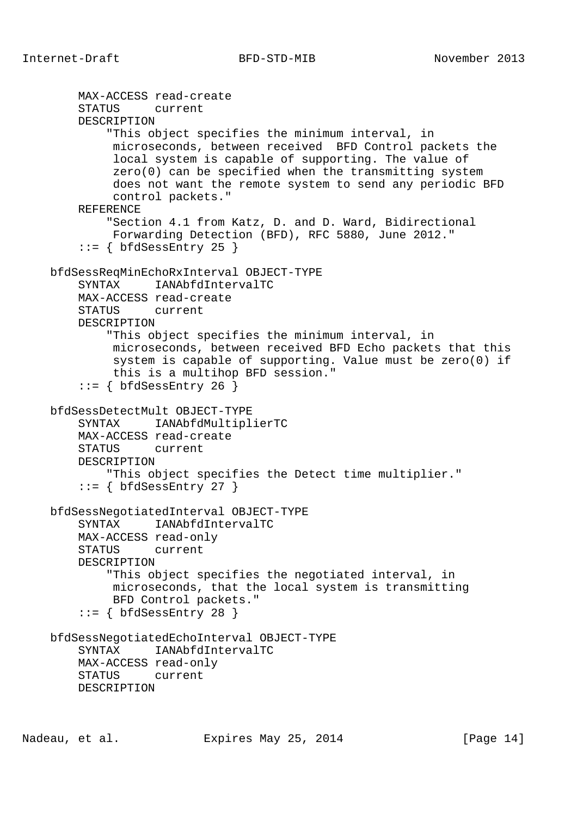```
 MAX-ACCESS read-create
     STATUS current
     DESCRIPTION
         "This object specifies the minimum interval, in
          microseconds, between received BFD Control packets the
          local system is capable of supporting. The value of
          zero(0) can be specified when the transmitting system
          does not want the remote system to send any periodic BFD
          control packets."
     REFERENCE
         "Section 4.1 from Katz, D. and D. Ward, Bidirectional
         Forwarding Detection (BFD), RFC 5880, June 2012."
    ::= { bfdSessEntry 25 }
 bfdSessReqMinEchoRxInterval OBJECT-TYPE
    SYNTAX IANAbfdIntervalTC
     MAX-ACCESS read-create
     STATUS current
     DESCRIPTION
         "This object specifies the minimum interval, in
          microseconds, between received BFD Echo packets that this
          system is capable of supporting. Value must be zero(0) if
          this is a multihop BFD session."
    ::= { bfdSessEntry 26 }
 bfdSessDetectMult OBJECT-TYPE
     SYNTAX IANAbfdMultiplierTC
     MAX-ACCESS read-create
     STATUS current
     DESCRIPTION
         "This object specifies the Detect time multiplier."
    ::= { bfdSessEntry 27 }
 bfdSessNegotiatedInterval OBJECT-TYPE
     SYNTAX IANAbfdIntervalTC
     MAX-ACCESS read-only
     STATUS current
     DESCRIPTION
         "This object specifies the negotiated interval, in
          microseconds, that the local system is transmitting
          BFD Control packets."
     ::= { bfdSessEntry 28 }
 bfdSessNegotiatedEchoInterval OBJECT-TYPE
     SYNTAX IANAbfdIntervalTC
     MAX-ACCESS read-only
     STATUS current
     DESCRIPTION
```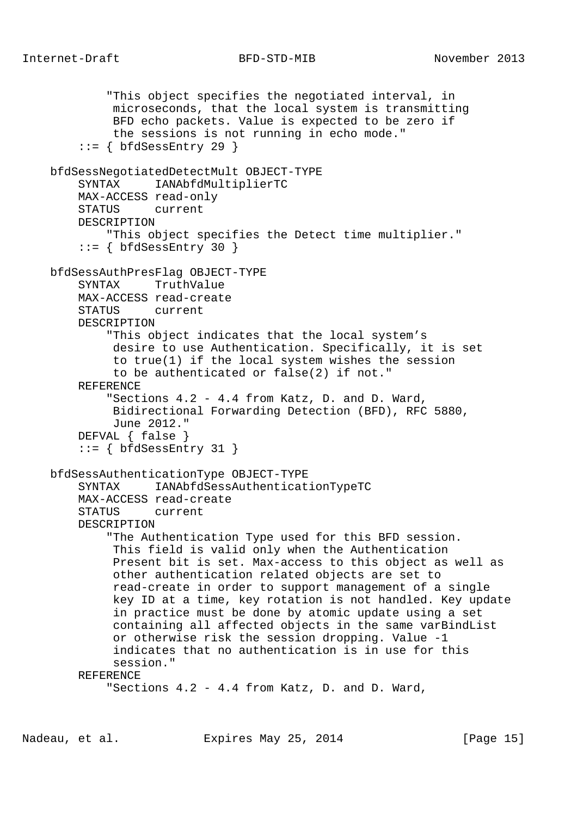```
 "This object specifies the negotiated interval, in
          microseconds, that the local system is transmitting
          BFD echo packets. Value is expected to be zero if
          the sessions is not running in echo mode."
    ::= { bfdSessEntry 29 }
 bfdSessNegotiatedDetectMult OBJECT-TYPE
     SYNTAX IANAbfdMultiplierTC
     MAX-ACCESS read-only
     STATUS current
     DESCRIPTION
         "This object specifies the Detect time multiplier."
    ::= { bfdSessEntry 30 }
 bfdSessAuthPresFlag OBJECT-TYPE
     SYNTAX TruthValue
     MAX-ACCESS read-create
     STATUS current
     DESCRIPTION
         "This object indicates that the local system's
          desire to use Authentication. Specifically, it is set
          to true(1) if the local system wishes the session
          to be authenticated or false(2) if not."
     REFERENCE
         "Sections 4.2 - 4.4 from Katz, D. and D. Ward,
          Bidirectional Forwarding Detection (BFD), RFC 5880,
          June 2012."
     DEFVAL { false }
    ::= { bfdSessEntry 31 }
 bfdSessAuthenticationType OBJECT-TYPE
     SYNTAX IANAbfdSessAuthenticationTypeTC
     MAX-ACCESS read-create
     STATUS current
     DESCRIPTION
         "The Authentication Type used for this BFD session.
          This field is valid only when the Authentication
          Present bit is set. Max-access to this object as well as
          other authentication related objects are set to
          read-create in order to support management of a single
          key ID at a time, key rotation is not handled. Key update
          in practice must be done by atomic update using a set
          containing all affected objects in the same varBindList
          or otherwise risk the session dropping. Value -1
          indicates that no authentication is in use for this
          session."
     REFERENCE
         "Sections 4.2 - 4.4 from Katz, D. and D. Ward,
```
Nadeau, et al. Expires May 25, 2014 [Page 15]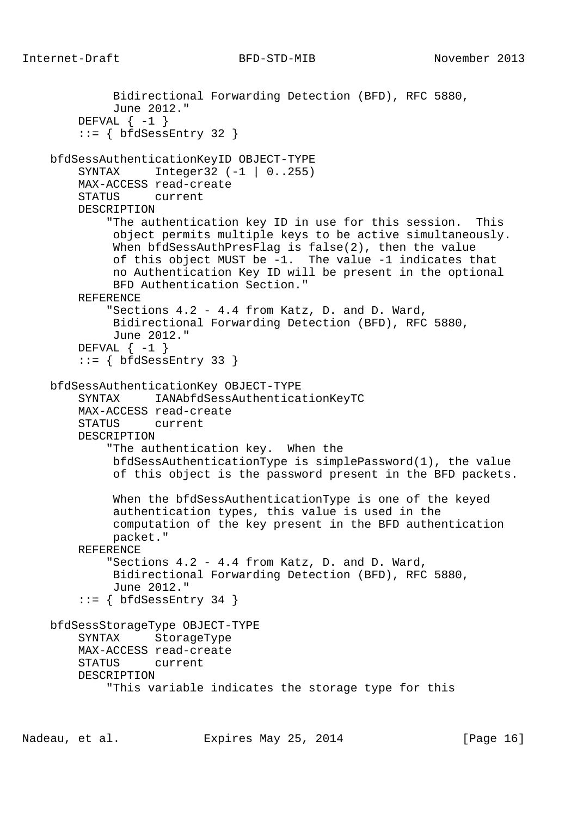```
 Bidirectional Forwarding Detection (BFD), RFC 5880,
          June 2012."
    DEFVAL \{-1\}::= { bfdSessEntry 32 }
 bfdSessAuthenticationKeyID OBJECT-TYPE
     SYNTAX Integer32 (-1 | 0..255)
     MAX-ACCESS read-create
     STATUS current
     DESCRIPTION
         "The authentication key ID in use for this session. This
          object permits multiple keys to be active simultaneously.
          When bfdSessAuthPresFlag is false(2), then the value
          of this object MUST be -1. The value -1 indicates that
          no Authentication Key ID will be present in the optional
          BFD Authentication Section."
     REFERENCE
         "Sections 4.2 - 4.4 from Katz, D. and D. Ward,
          Bidirectional Forwarding Detection (BFD), RFC 5880,
          June 2012."
    DEFVAL \{-1\}::= { bfdSessEntry 33 }
 bfdSessAuthenticationKey OBJECT-TYPE
     SYNTAX IANAbfdSessAuthenticationKeyTC
     MAX-ACCESS read-create
     STATUS current
     DESCRIPTION
         "The authentication key. When the
          bfdSessAuthenticationType is simplePassword(1), the value
          of this object is the password present in the BFD packets.
          When the bfdSessAuthenticationType is one of the keyed
          authentication types, this value is used in the
          computation of the key present in the BFD authentication
          packet."
     REFERENCE
         "Sections 4.2 - 4.4 from Katz, D. and D. Ward,
          Bidirectional Forwarding Detection (BFD), RFC 5880,
          June 2012."
    ::= { bfdSessEntry 34 }
 bfdSessStorageType OBJECT-TYPE
     SYNTAX StorageType
     MAX-ACCESS read-create
     STATUS current
     DESCRIPTION
         "This variable indicates the storage type for this
```
Nadeau, et al. **Expires May 25, 2014** [Page 16]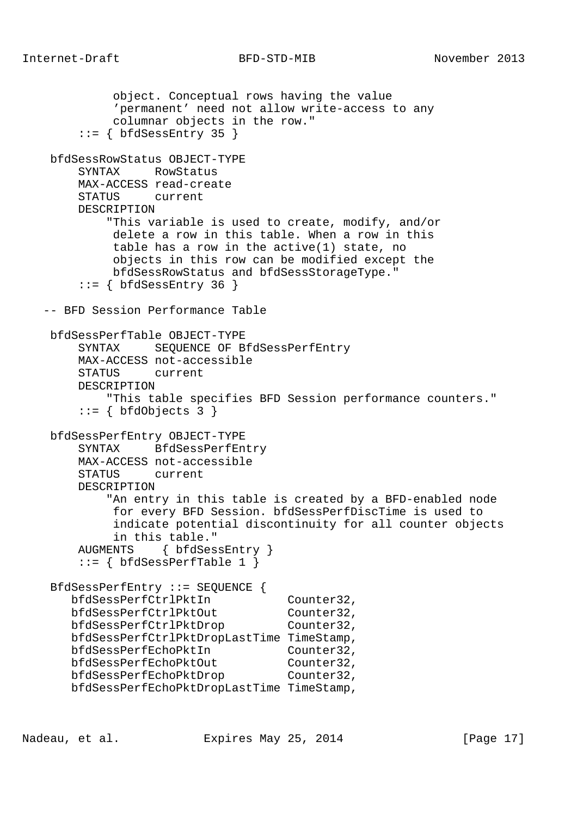```
 object. Conceptual rows having the value
             'permanent' need not allow write-access to any
             columnar objects in the row."
       ::= { bfdSessEntry 35 }
    bfdSessRowStatus OBJECT-TYPE
        SYNTAX RowStatus
        MAX-ACCESS read-create
        STATUS current
        DESCRIPTION
            "This variable is used to create, modify, and/or
             delete a row in this table. When a row in this
             table has a row in the active(1) state, no
             objects in this row can be modified except the
             bfdSessRowStatus and bfdSessStorageType."
       ::= { bfdSessEntry 36 }
   -- BFD Session Performance Table
    bfdSessPerfTable OBJECT-TYPE
        SYNTAX SEQUENCE OF BfdSessPerfEntry
        MAX-ACCESS not-accessible
        STATUS current
        DESCRIPTION
            "This table specifies BFD Session performance counters."
       ::= { bfdObjects 3 }
    bfdSessPerfEntry OBJECT-TYPE
        SYNTAX BfdSessPerfEntry
        MAX-ACCESS not-accessible
        STATUS current
        DESCRIPTION
            "An entry in this table is created by a BFD-enabled node
             for every BFD Session. bfdSessPerfDiscTime is used to
             indicate potential discontinuity for all counter objects
             in this table."
        AUGMENTS { bfdSessEntry }
       ::= \{ bfdSessPerfTable 1 \} BfdSessPerfEntry ::= SEQUENCE {
       bfdSessPerfCtrlPktIn Counter32,
bfdSessPerfCtrlPktOut Counter32,
bfdSessPerfCtrlPktDrop Counter32,
       bfdSessPerfCtrlPktDropLastTime TimeStamp,
       bfdSessPerfEchoPktIn Counter32,
bfdSessPerfEchoPktOut Counter32,
bfdSessPerfEchoPktDrop Counter32,
       bfdSessPerfEchoPktDropLastTime TimeStamp,
```
Nadeau, et al. Expires May 25, 2014 [Page 17]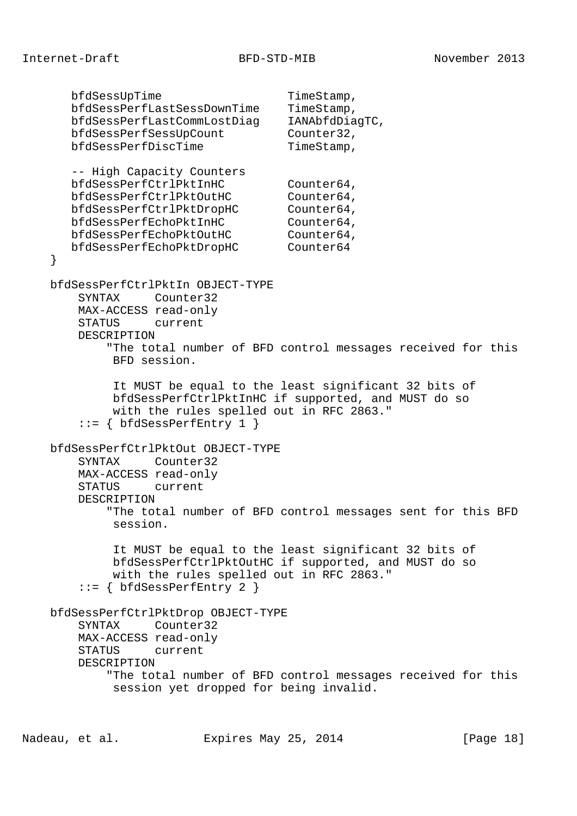bfdSessUpTime TimeStamp, bfdSessPerfLastSessDownTime TimeStamp, bfdSessPerfLastCommLostDiag IANAbfdDiagTC, bfdSessPerfSessUpCount Counter32, bfdSessPerfDiscTime TimeStamp, -- High Capacity Counters bfdSessPerfCtrlPktInHC Counter64, bfdSessPerfCtrlPktOutHC Counter64, bfdSessPerfCtrlPktDropHC Counter64, bfdSessPerfEchoPktInHC Counter64, bfdSessPerfEchoPktOutHC Counter64, bfdSessPerfEchoPktDropHC Counter64 } bfdSessPerfCtrlPktIn OBJECT-TYPE SYNTAX Counter32 MAX-ACCESS read-only STATUS current DESCRIPTION "The total number of BFD control messages received for this BFD session. It MUST be equal to the least significant 32 bits of bfdSessPerfCtrlPktInHC if supported, and MUST do so with the rules spelled out in RFC 2863."  $::= \{ bfdSessPerfEntry 1 \}$  bfdSessPerfCtrlPktOut OBJECT-TYPE SYNTAX Counter32 MAX-ACCESS read-only STATUS current DESCRIPTION "The total number of BFD control messages sent for this BFD session. It MUST be equal to the least significant 32 bits of bfdSessPerfCtrlPktOutHC if supported, and MUST do so with the rules spelled out in RFC 2863." ::= { bfdSessPerfEntry 2 } bfdSessPerfCtrlPktDrop OBJECT-TYPE SYNTAX Counter32 MAX-ACCESS read-only STATUS current DESCRIPTION "The total number of BFD control messages received for this session yet dropped for being invalid.

Nadeau, et al. Expires May 25, 2014 [Page 18]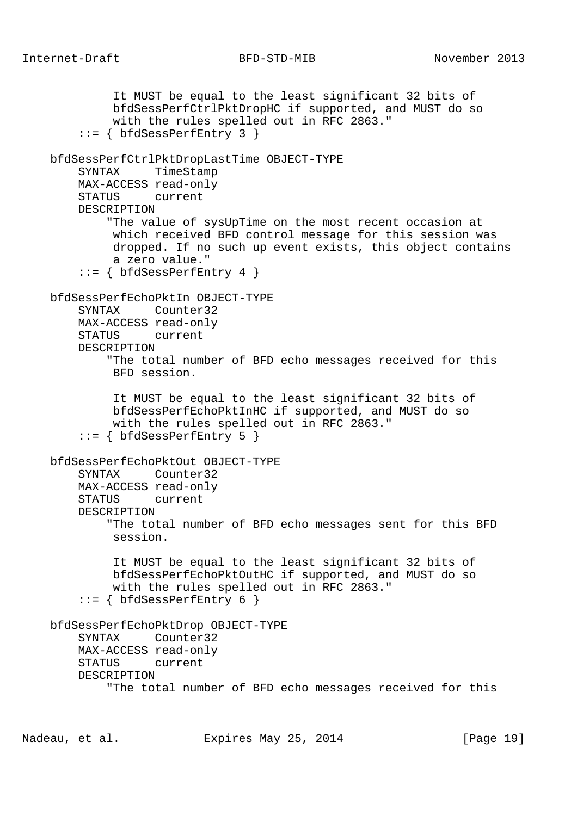It MUST be equal to the least significant 32 bits of bfdSessPerfCtrlPktDropHC if supported, and MUST do so with the rules spelled out in RFC 2863." ::= { bfdSessPerfEntry 3 } bfdSessPerfCtrlPktDropLastTime OBJECT-TYPE SYNTAX TimeStamp MAX-ACCESS read-only STATUS current DESCRIPTION "The value of sysUpTime on the most recent occasion at which received BFD control message for this session was dropped. If no such up event exists, this object contains a zero value." ::= { bfdSessPerfEntry 4 } bfdSessPerfEchoPktIn OBJECT-TYPE SYNTAX Counter32 MAX-ACCESS read-only STATUS current DESCRIPTION "The total number of BFD echo messages received for this BFD session. It MUST be equal to the least significant 32 bits of bfdSessPerfEchoPktInHC if supported, and MUST do so with the rules spelled out in RFC 2863." ::= { bfdSessPerfEntry 5 } bfdSessPerfEchoPktOut OBJECT-TYPE SYNTAX Counter32 MAX-ACCESS read-only STATUS current DESCRIPTION "The total number of BFD echo messages sent for this BFD session. It MUST be equal to the least significant 32 bits of bfdSessPerfEchoPktOutHC if supported, and MUST do so with the rules spelled out in RFC 2863."  $::=$  { bfdSessPerfEntry 6 } bfdSessPerfEchoPktDrop OBJECT-TYPE SYNTAX Counter32 MAX-ACCESS read-only STATUS current DESCRIPTION "The total number of BFD echo messages received for this

Nadeau, et al. Expires May 25, 2014 [Page 19]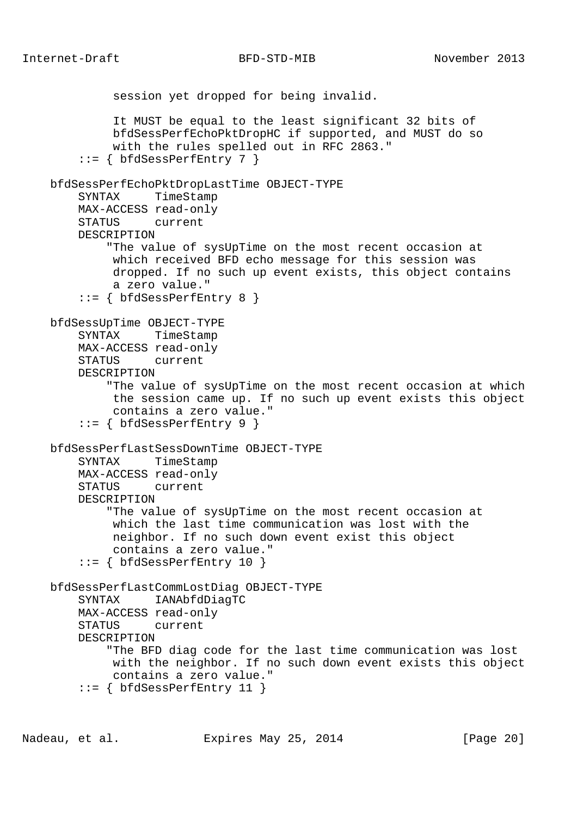session yet dropped for being invalid. It MUST be equal to the least significant 32 bits of bfdSessPerfEchoPktDropHC if supported, and MUST do so with the rules spelled out in RFC 2863."  $::=$  { bfdSessPerfEntry 7 } bfdSessPerfEchoPktDropLastTime OBJECT-TYPE SYNTAX TimeStamp MAX-ACCESS read-only STATUS current DESCRIPTION "The value of sysUpTime on the most recent occasion at which received BFD echo message for this session was dropped. If no such up event exists, this object contains a zero value." ::= { bfdSessPerfEntry 8 } bfdSessUpTime OBJECT-TYPE SYNTAX TimeStamp MAX-ACCESS read-only STATUS current DESCRIPTION "The value of sysUpTime on the most recent occasion at which the session came up. If no such up event exists this object contains a zero value."  $::= \{ bfdSessPerfEntry 9 \}$  bfdSessPerfLastSessDownTime OBJECT-TYPE SYNTAX TimeStamp MAX-ACCESS read-only STATUS current DESCRIPTION "The value of sysUpTime on the most recent occasion at which the last time communication was lost with the neighbor. If no such down event exist this object contains a zero value."  $::=$  { bfdSessPerfEntry 10 } bfdSessPerfLastCommLostDiag OBJECT-TYPE SYNTAX IANAbfdDiagTC MAX-ACCESS read-only STATUS current DESCRIPTION "The BFD diag code for the last time communication was lost with the neighbor. If no such down event exists this object contains a zero value."  $::=$  { bfdSessPerfEntry 11 }

Nadeau, et al. Expires May 25, 2014 [Page 20]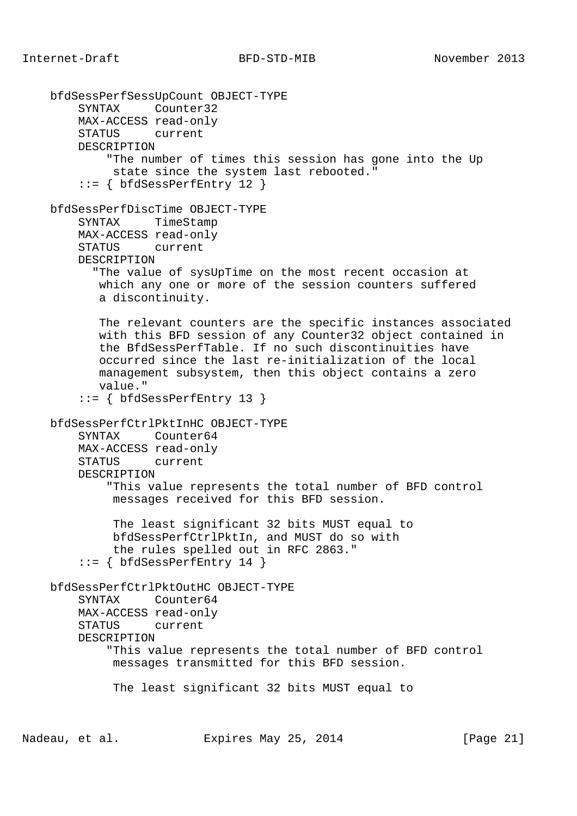bfdSessPerfSessUpCount OBJECT-TYPE SYNTAX Counter32 MAX-ACCESS read-only STATUS current DESCRIPTION "The number of times this session has gone into the Up state since the system last rebooted." ::= { bfdSessPerfEntry 12 } bfdSessPerfDiscTime OBJECT-TYPE SYNTAX TimeStamp MAX-ACCESS read-only STATUS current DESCRIPTION "The value of sysUpTime on the most recent occasion at which any one or more of the session counters suffered a discontinuity. The relevant counters are the specific instances associated with this BFD session of any Counter32 object contained in the BfdSessPerfTable. If no such discontinuities have occurred since the last re-initialization of the local management subsystem, then this object contains a zero value." ::= { bfdSessPerfEntry 13 } bfdSessPerfCtrlPktInHC OBJECT-TYPE SYNTAX Counter64 MAX-ACCESS read-only STATUS current DESCRIPTION "This value represents the total number of BFD control messages received for this BFD session. The least significant 32 bits MUST equal to bfdSessPerfCtrlPktIn, and MUST do so with the rules spelled out in RFC 2863."  $::=$  { bfdSessPerfEntry 14 } bfdSessPerfCtrlPktOutHC OBJECT-TYPE SYNTAX Counter64 MAX-ACCESS read-only STATUS current DESCRIPTION "This value represents the total number of BFD control messages transmitted for this BFD session. The least significant 32 bits MUST equal to

Nadeau, et al. Expires May 25, 2014 [Page 21]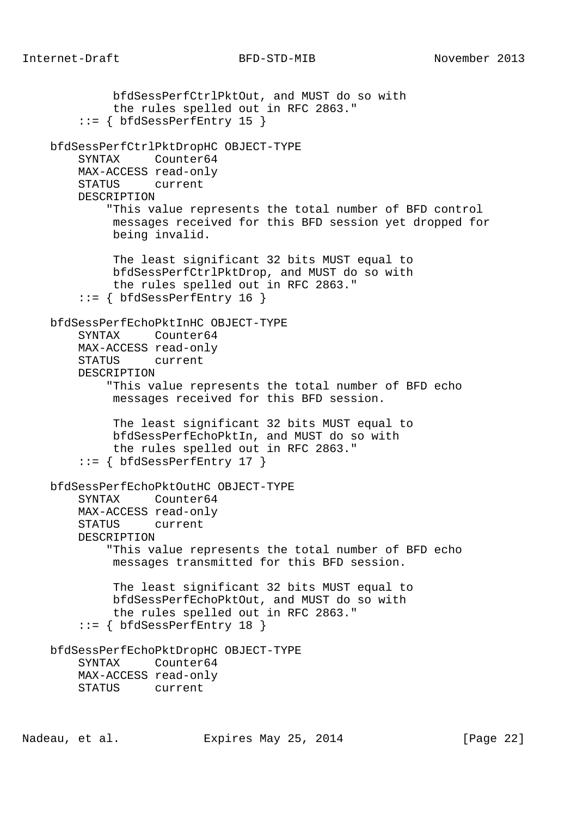bfdSessPerfCtrlPktOut, and MUST do so with the rules spelled out in RFC 2863." ::= { bfdSessPerfEntry 15 } bfdSessPerfCtrlPktDropHC OBJECT-TYPE SYNTAX Counter64 MAX-ACCESS read-only STATUS current DESCRIPTION "This value represents the total number of BFD control messages received for this BFD session yet dropped for being invalid. The least significant 32 bits MUST equal to bfdSessPerfCtrlPktDrop, and MUST do so with the rules spelled out in RFC 2863." ::= { bfdSessPerfEntry 16 } bfdSessPerfEchoPktInHC OBJECT-TYPE SYNTAX Counter64 MAX-ACCESS read-only STATUS current DESCRIPTION "This value represents the total number of BFD echo messages received for this BFD session. The least significant 32 bits MUST equal to bfdSessPerfEchoPktIn, and MUST do so with the rules spelled out in RFC 2863." ::= { bfdSessPerfEntry 17 } bfdSessPerfEchoPktOutHC OBJECT-TYPE SYNTAX Counter64 MAX-ACCESS read-only STATUS current DESCRIPTION "This value represents the total number of BFD echo messages transmitted for this BFD session. The least significant 32 bits MUST equal to bfdSessPerfEchoPktOut, and MUST do so with the rules spelled out in RFC 2863."  $::=$  { bfdSessPerfEntry 18 } bfdSessPerfEchoPktDropHC OBJECT-TYPE SYNTAX Counter64 MAX-ACCESS read-only STATUS current

Nadeau, et al. Expires May 25, 2014 [Page 22]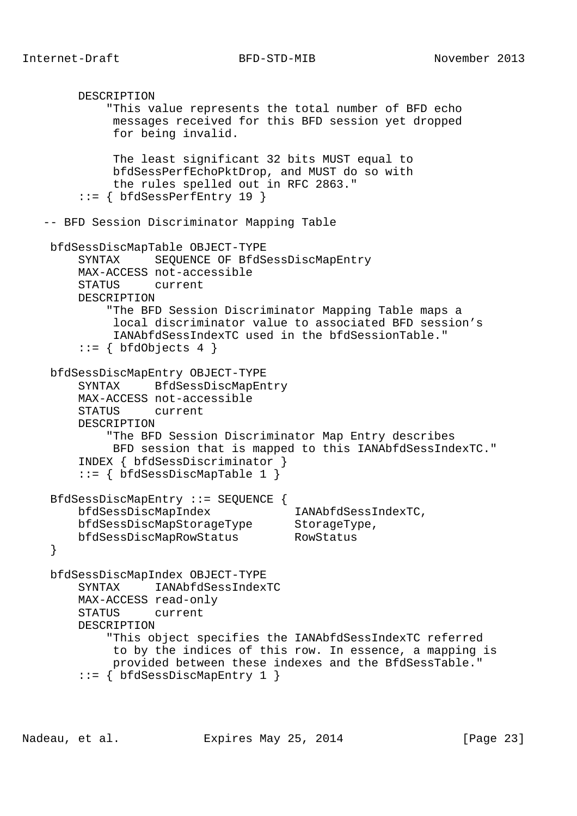```
 DESCRIPTION
             "This value represents the total number of BFD echo
             messages received for this BFD session yet dropped
             for being invalid.
             The least significant 32 bits MUST equal to
             bfdSessPerfEchoPktDrop, and MUST do so with
             the rules spelled out in RFC 2863."
         ::= { bfdSessPerfEntry 19 }
   -- BFD Session Discriminator Mapping Table
    bfdSessDiscMapTable OBJECT-TYPE
        SYNTAX SEQUENCE OF BfdSessDiscMapEntry
        MAX-ACCESS not-accessible
        STATUS current
        DESCRIPTION
             "The BFD Session Discriminator Mapping Table maps a
             local discriminator value to associated BFD session's
             IANAbfdSessIndexTC used in the bfdSessionTable."
         ::= \{ \text{ bfdObjects } 4 \} bfdSessDiscMapEntry OBJECT-TYPE
        SYNTAX BfdSessDiscMapEntry
        MAX-ACCESS not-accessible
        STATUS current
        DESCRIPTION
             "The BFD Session Discriminator Map Entry describes
             BFD session that is mapped to this IANAbfdSessIndexTC."
        INDEX { bfdSessDiscriminator }
         ::= { bfdSessDiscMapTable 1 }
    BfdSessDiscMapEntry ::= SEQUENCE {
        bfdSessDiscMapIndex IANAbfdSessIndexTC,
bfdSessDiscMapStorageType StorageType,
 bfdSessDiscMapRowStatus RowStatus
    }
    bfdSessDiscMapIndex OBJECT-TYPE
        SYNTAX IANAbfdSessIndexTC
        MAX-ACCESS read-only
        STATUS current
        DESCRIPTION
             "This object specifies the IANAbfdSessIndexTC referred
             to by the indices of this row. In essence, a mapping is
             provided between these indexes and the BfdSessTable."
         ::= { bfdSessDiscMapEntry 1 }
```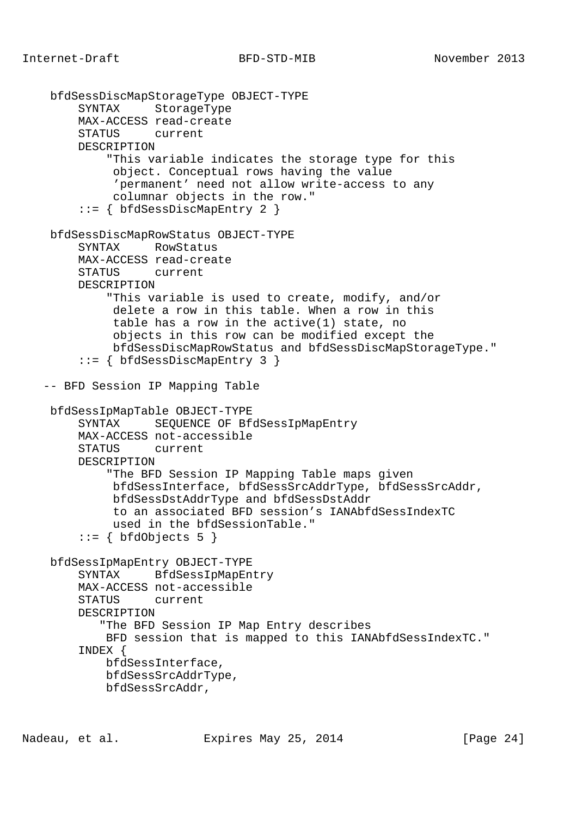```
 bfdSessDiscMapStorageType OBJECT-TYPE
      SYNTAX StorageType
      MAX-ACCESS read-create
      STATUS current
      DESCRIPTION
          "This variable indicates the storage type for this
           object. Conceptual rows having the value
           'permanent' need not allow write-access to any
           columnar objects in the row."
      ::= { bfdSessDiscMapEntry 2 }
 bfdSessDiscMapRowStatus OBJECT-TYPE
      SYNTAX RowStatus
      MAX-ACCESS read-create
      STATUS current
      DESCRIPTION
          "This variable is used to create, modify, and/or
           delete a row in this table. When a row in this
           table has a row in the active(1) state, no
           objects in this row can be modified except the
           bfdSessDiscMapRowStatus and bfdSessDiscMapStorageType."
      ::= { bfdSessDiscMapEntry 3 }
 -- BFD Session IP Mapping Table
 bfdSessIpMapTable OBJECT-TYPE
      SYNTAX SEQUENCE OF BfdSessIpMapEntry
      MAX-ACCESS not-accessible
      STATUS current
      DESCRIPTION
          "The BFD Session IP Mapping Table maps given
           bfdSessInterface, bfdSessSrcAddrType, bfdSessSrcAddr,
           bfdSessDstAddrType and bfdSessDstAddr
           to an associated BFD session's IANAbfdSessIndexTC
           used in the bfdSessionTable."
     ::= { bfdObjects 5 }
 bfdSessIpMapEntry OBJECT-TYPE
      SYNTAX BfdSessIpMapEntry
      MAX-ACCESS not-accessible
      STATUS current
      DESCRIPTION
         "The BFD Session IP Map Entry describes
          BFD session that is mapped to this IANAbfdSessIndexTC."
      INDEX {
         bfdSessInterface,
         bfdSessSrcAddrType,
         bfdSessSrcAddr,
```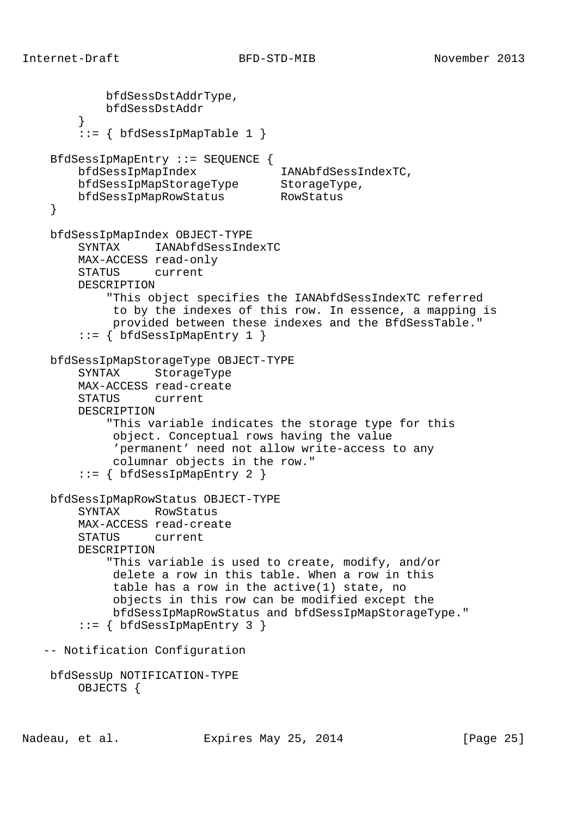```
 bfdSessDstAddrType,
            bfdSessDstAddr
        }
       ::= { bfdSessIpMapTable 1 }
    BfdSessIpMapEntry ::= SEQUENCE {
        bfdSessIpMapIndex IANAbfdSessIndexTC,
 bfdSessIpMapStorageType StorageType,
 bfdSessIpMapRowStatus RowStatus
     }
    bfdSessIpMapIndex OBJECT-TYPE
        SYNTAX IANAbfdSessIndexTC
        MAX-ACCESS read-only
        STATUS current
        DESCRIPTION
             "This object specifies the IANAbfdSessIndexTC referred
             to by the indexes of this row. In essence, a mapping is
             provided between these indexes and the BfdSessTable."
        ::= { bfdSessIpMapEntry 1 }
    bfdSessIpMapStorageType OBJECT-TYPE
        SYNTAX StorageType
        MAX-ACCESS read-create
        STATUS current
        DESCRIPTION
            "This variable indicates the storage type for this
             object. Conceptual rows having the value
             'permanent' need not allow write-access to any
             columnar objects in the row."
        ::= { bfdSessIpMapEntry 2 }
    bfdSessIpMapRowStatus OBJECT-TYPE
        SYNTAX RowStatus
        MAX-ACCESS read-create
        STATUS current
        DESCRIPTION
            "This variable is used to create, modify, and/or
             delete a row in this table. When a row in this
             table has a row in the active(1) state, no
             objects in this row can be modified except the
             bfdSessIpMapRowStatus and bfdSessIpMapStorageType."
       ::= \{ bfdSessIpMapEntry 3 \} -- Notification Configuration
    bfdSessUp NOTIFICATION-TYPE
        OBJECTS {
```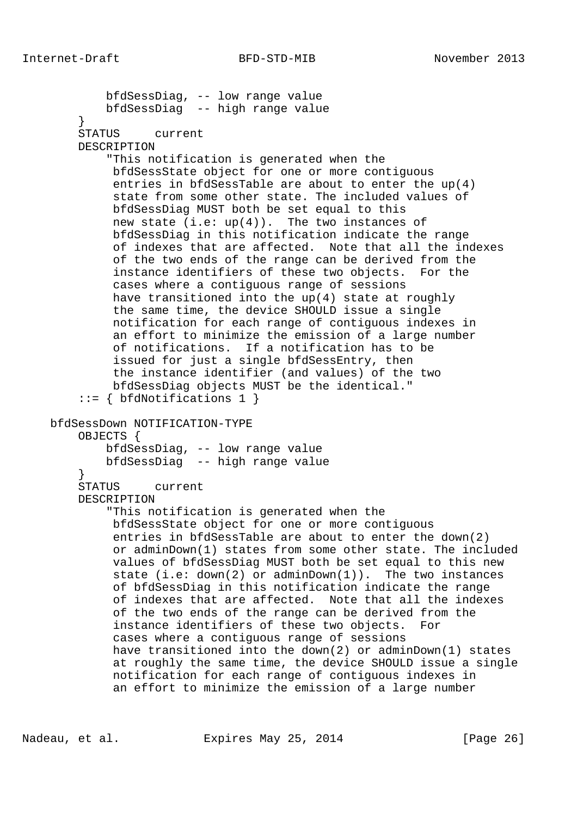bfdSessDiag, -- low range value bfdSessDiag -- high range value } STATUS current DESCRIPTION "This notification is generated when the bfdSessState object for one or more contiguous entries in bfdSessTable are about to enter the up(4) state from some other state. The included values of bfdSessDiag MUST both be set equal to this new state  $(i.e: up(4))$ . The two instances of bfdSessDiag in this notification indicate the range of indexes that are affected. Note that all the indexes of the two ends of the range can be derived from the instance identifiers of these two objects. For the cases where a contiguous range of sessions have transitioned into the up(4) state at roughly the same time, the device SHOULD issue a single notification for each range of contiguous indexes in an effort to minimize the emission of a large number of notifications. If a notification has to be issued for just a single bfdSessEntry, then the instance identifier (and values) of the two bfdSessDiag objects MUST be the identical." ::= { bfdNotifications 1 } bfdSessDown NOTIFICATION-TYPE OBJECTS { bfdSessDiag, -- low range value bfdSessDiag -- high range value } STATUS current DESCRIPTION "This notification is generated when the bfdSessState object for one or more contiguous entries in bfdSessTable are about to enter the down(2) or adminDown(1) states from some other state. The included values of bfdSessDiag MUST both be set equal to this new state (i.e: down(2) or adminDown(1)). The two instances of bfdSessDiag in this notification indicate the range of indexes that are affected. Note that all the indexes of the two ends of the range can be derived from the instance identifiers of these two objects. For cases where a contiguous range of sessions have transitioned into the down(2) or adminDown(1) states at roughly the same time, the device SHOULD issue a single notification for each range of contiguous indexes in an effort to minimize the emission of a large number

Nadeau, et al. Expires May 25, 2014 [Page 26]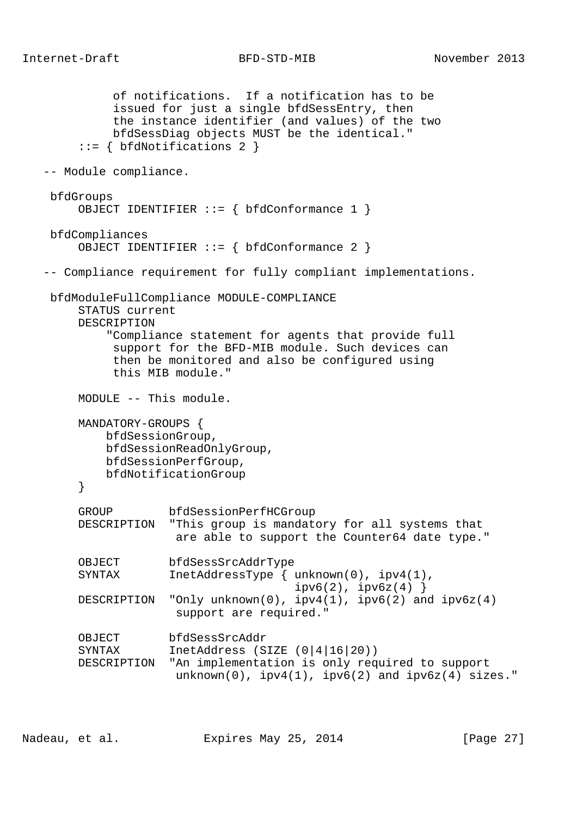of notifications. If a notification has to be issued for just a single bfdSessEntry, then the instance identifier (and values) of the two bfdSessDiag objects MUST be the identical." ::= { bfdNotifications 2 } -- Module compliance. bfdGroups OBJECT IDENTIFIER ::= { bfdConformance 1 } bfdCompliances OBJECT IDENTIFIER ::= { bfdConformance 2 } -- Compliance requirement for fully compliant implementations. bfdModuleFullCompliance MODULE-COMPLIANCE STATUS current DESCRIPTION "Compliance statement for agents that provide full support for the BFD-MIB module. Such devices can then be monitored and also be configured using this MIB module." MODULE -- This module. MANDATORY-GROUPS { bfdSessionGroup, bfdSessionReadOnlyGroup, bfdSessionPerfGroup, bfdNotificationGroup } GROUP bfdSessionPerfHCGroup DESCRIPTION "This group is mandatory for all systems that are able to support the Counter64 date type." OBJECT bfdSessSrcAddrType SYNTAX InetAddressType { unknown(0), ipv4(1),  $ipv6(2)$ ,  $ipv6z(4)$  } DESCRIPTION "Only unknown(0), ipv4(1), ipv6(2) and ipv6z(4) support are required." OBJECT bfdSessSrcAddr SYNTAX InetAddress (SIZE (0|4|16|20)) DESCRIPTION "An implementation is only required to support  $unknown(0)$ ,  $ipv4(1)$ ,  $ipv6(2)$  and  $ipv6z(4)$  sizes."

Nadeau, et al. Expires May 25, 2014 [Page 27]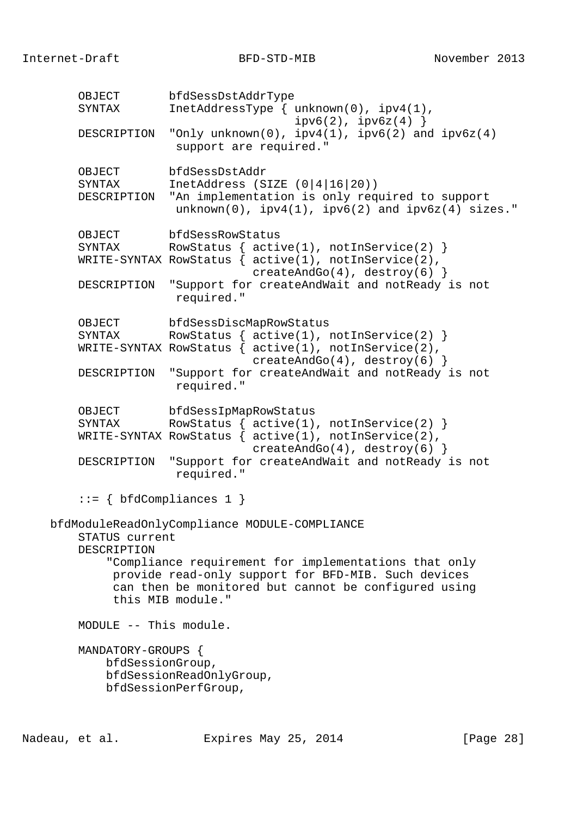OBJECT bfdSessDstAddrType SYNTAX InetAddressType { unknown(0), ipv4(1),  $ipv6(2)$ ,  $ipv6z(4)$  } DESCRIPTION "Only unknown(0),  $ipv4(1)$ ,  $ipv6(2)$  and  $ipv6z(4)$  support are required." OBJECT bfdSessDstAddr SYNTAX InetAddress (SIZE (0|4|16|20)) DESCRIPTION "An implementation is only required to support  $unknown(0)$ ,  $ipv4(1)$ ,  $ipv6(2)$  and  $ipv6z(4)$  sizes." OBJECT bfdSessRowStatus SYNTAX RowStatus {  $active(1)$ ,  $notInService(2)$  } WRITE-SYNTAX RowStatus { active(1), notInService(2), createAndGo(4), destroy(6)  $\}$  DESCRIPTION "Support for createAndWait and notReady is not required." OBJECT bfdSessDiscMapRowStatus SYNTAX RowStatus {  $active(1)$ ,  $notInService(2)$  } WRITE-SYNTAX RowStatus  $\{$  active(1), notInService(2),  $createAndGo(4)$ ,  $destroy(6)$  } DESCRIPTION "Support for createAndWait and notReady is not required." OBJECT bfdSessIpMapRowStatus SYNTAX RowStatus  $\begin{bmatrix} 0 & 0 \\ 0 & 0 \end{bmatrix}$  active(1), notInService(2) } WRITE-SYNTAX RowStatus  $\{$  active(1), notInService(2), createAndGo(4), destroy(6) } DESCRIPTION "Support for createAndWait and notReady is not required."  $::= \{ bfdCompliances 1 \}$  bfdModuleReadOnlyCompliance MODULE-COMPLIANCE STATUS current DESCRIPTION "Compliance requirement for implementations that only provide read-only support for BFD-MIB. Such devices can then be monitored but cannot be configured using this MIB module." MODULE -- This module. MANDATORY-GROUPS { bfdSessionGroup, bfdSessionReadOnlyGroup, bfdSessionPerfGroup,

Nadeau, et al. Expires May 25, 2014 [Page 28]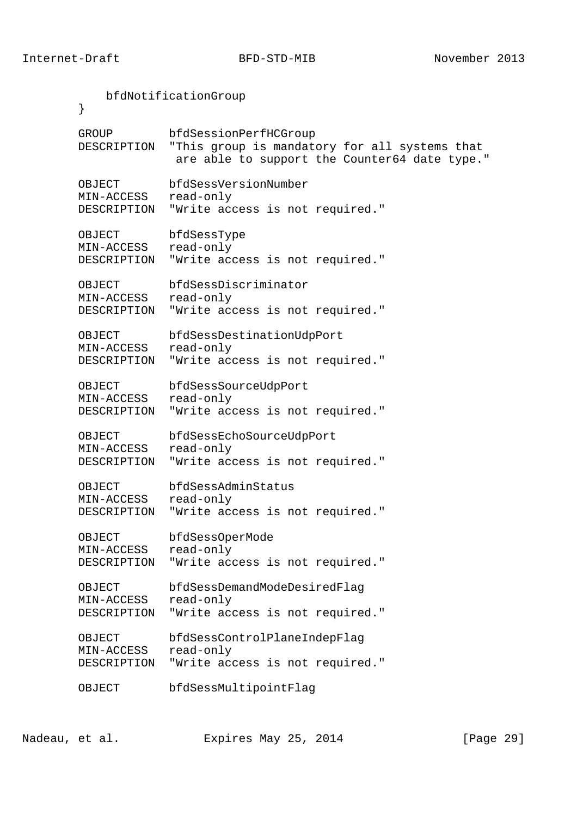bfdNotificationGroup } GROUP bfdSessionPerfHCGroup DESCRIPTION "This group is mandatory for all systems that are able to support the Counter64 date type." OBJECT bfdSessVersionNumber MIN-ACCESS read-only DESCRIPTION "Write access is not required." OBJECT bfdSessType MIN-ACCESS read-only DESCRIPTION "Write access is not required." OBJECT bfdSessDiscriminator MIN-ACCESS read-only DESCRIPTION "Write access is not required." OBJECT bfdSessDestinationUdpPort MIN-ACCESS read-only DESCRIPTION "Write access is not required." OBJECT bfdSessSourceUdpPort MIN-ACCESS read-only DESCRIPTION "Write access is not required." OBJECT bfdSessEchoSourceUdpPort MIN-ACCESS read-only DESCRIPTION "Write access is not required." OBJECT bfdSessAdminStatus MIN-ACCESS read-only DESCRIPTION "Write access is not required." OBJECT bfdSessOperMode MIN-ACCESS read-only DESCRIPTION "Write access is not required." OBJECT bfdSessDemandModeDesiredFlag MIN-ACCESS read-only DESCRIPTION "Write access is not required." OBJECT bfdSessControlPlaneIndepFlag MIN-ACCESS read-only DESCRIPTION "Write access is not required." OBJECT bfdSessMultipointFlag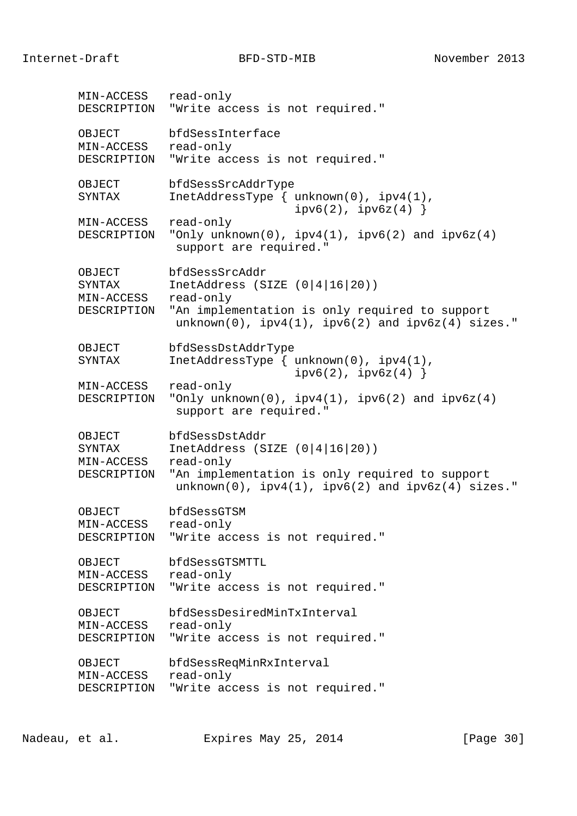Internet-Draft BFD-STD-MIB November 2013

 MIN-ACCESS read-only DESCRIPTION "Write access is not required." OBJECT bfdSessInterface MIN-ACCESS read-only DESCRIPTION "Write access is not required." OBJECT bfdSessSrcAddrType SYNTAX InetAddressType  $\{$  unknown(0),  $ipv4(1)$ ,  $ipv6(2)$ ,  $ipv6z(4)$  } MIN-ACCESS read-only DESCRIPTION "Only unknown(0), ipv4(1), ipv6(2) and ipv6z(4) support are required." OBJECT bfdSessSrcAddr SYNTAX InetAddress (SIZE (0|4|16|20)) MIN-ACCESS read-only DESCRIPTION "An implementation is only required to support  $unknown(0)$ ,  $ipv4(1)$ ,  $ipv6(2)$  and  $ipv6z(4)$  sizes." OBJECT bfdSessDstAddrType SYNTAX InetAddressType { unknown(0), ipv4(1),  $ipv6(2)$ ,  $ipv6z(4)$  } MIN-ACCESS read-only DESCRIPTION "Only unknown(0),  $ipv4(1)$ ,  $ipv6(2)$  and  $ipv6z(4)$  support are required." OBJECT bfdSessDstAddr<br>SYNTAX InetAddress (S) InetAddress (SIZE  $(0|4|16|20)$ ) MIN-ACCESS read-only DESCRIPTION "An implementation is only required to support  $unknown(0)$ ,  $ipv4(1)$ ,  $ipv6(2)$  and  $ipv6z(4)$  sizes." OBJECT bfdSessGTSM MIN-ACCESS read-only DESCRIPTION "Write access is not required." OBJECT bfdSessGTSMTTL MIN-ACCESS read-only DESCRIPTION "Write access is not required." OBJECT bfdSessDesiredMinTxInterval MIN-ACCESS read-only DESCRIPTION "Write access is not required." OBJECT bfdSessReqMinRxInterval MIN-ACCESS read-only DESCRIPTION "Write access is not required."

Nadeau, et al. Expires May 25, 2014 [Page 30]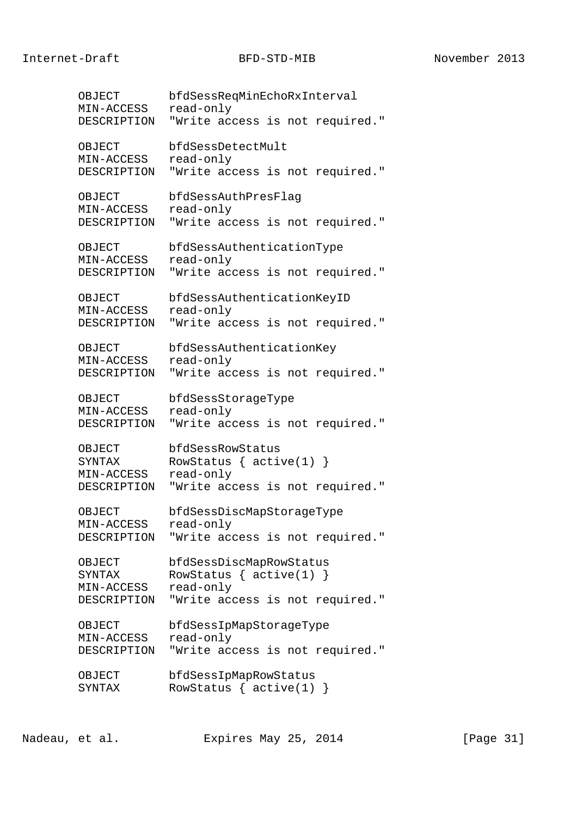OBJECT bfdSessReqMinEchoRxInterval MIN-ACCESS read-only DESCRIPTION "Write access is not required." OBJECT bfdSessDetectMult MIN-ACCESS read-only DESCRIPTION "Write access is not required." OBJECT bfdSessAuthPresFlag MIN-ACCESS read-only DESCRIPTION "Write access is not required." OBJECT bfdSessAuthenticationType MIN-ACCESS read-only DESCRIPTION "Write access is not required." OBJECT bfdSessAuthenticationKeyID MIN-ACCESS read-only DESCRIPTION "Write access is not required." OBJECT bfdSessAuthenticationKey MIN-ACCESS read-only DESCRIPTION "Write access is not required." OBJECT bfdSessStorageType MIN-ACCESS read-only DESCRIPTION "Write access is not required." OBJECT bfdSessRowStatus SYNTAX RowStatus { active(1) } MIN-ACCESS read-only DESCRIPTION "Write access is not required." OBJECT bfdSessDiscMapStorageType MIN-ACCESS read-only DESCRIPTION "Write access is not required." OBJECT bfdSessDiscMapRowStatus SYNTAX RowStatus { active(1) } MIN-ACCESS read-only DESCRIPTION "Write access is not required." OBJECT bfdSessIpMapStorageType MIN-ACCESS read-only DESCRIPTION "Write access is not required." OBJECT bfdSessIpMapRowStatus SYNTAX RowStatus { active(1) }

Nadeau, et al. Expires May 25, 2014 [Page 31]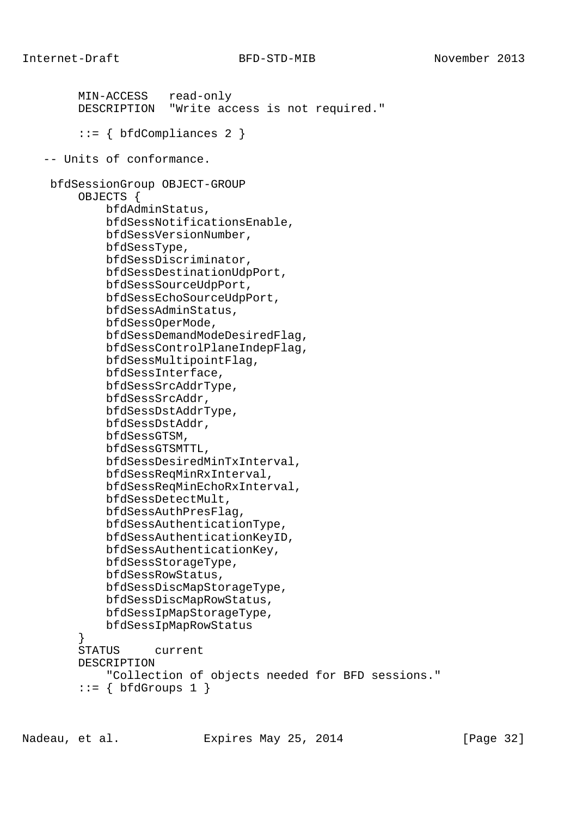```
 MIN-ACCESS read-only
         DESCRIPTION "Write access is not required."
        ::= { bfdCompliances 2 }
    -- Units of conformance.
    bfdSessionGroup OBJECT-GROUP
         OBJECTS {
             bfdAdminStatus,
             bfdSessNotificationsEnable,
             bfdSessVersionNumber,
             bfdSessType,
             bfdSessDiscriminator,
             bfdSessDestinationUdpPort,
             bfdSessSourceUdpPort,
             bfdSessEchoSourceUdpPort,
             bfdSessAdminStatus,
             bfdSessOperMode,
             bfdSessDemandModeDesiredFlag,
             bfdSessControlPlaneIndepFlag,
             bfdSessMultipointFlag,
             bfdSessInterface,
             bfdSessSrcAddrType,
             bfdSessSrcAddr,
             bfdSessDstAddrType,
             bfdSessDstAddr,
             bfdSessGTSM,
             bfdSessGTSMTTL,
             bfdSessDesiredMinTxInterval,
             bfdSessReqMinRxInterval,
             bfdSessReqMinEchoRxInterval,
             bfdSessDetectMult,
             bfdSessAuthPresFlag,
             bfdSessAuthenticationType,
             bfdSessAuthenticationKeyID,
             bfdSessAuthenticationKey,
             bfdSessStorageType,
             bfdSessRowStatus,
             bfdSessDiscMapStorageType,
             bfdSessDiscMapRowStatus,
             bfdSessIpMapStorageType,
             bfdSessIpMapRowStatus
 }
         STATUS current
         DESCRIPTION
             "Collection of objects needed for BFD sessions."
        ::= \{ \text{bfGrows 1} \}
```
Nadeau, et al. Expires May 25, 2014 [Page 32]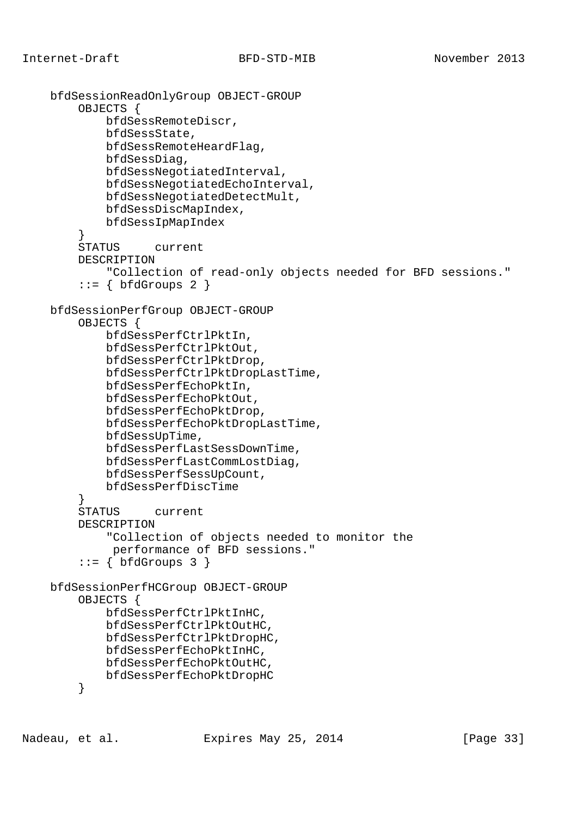```
 bfdSessionReadOnlyGroup OBJECT-GROUP
         OBJECTS {
             bfdSessRemoteDiscr,
             bfdSessState,
             bfdSessRemoteHeardFlag,
             bfdSessDiag,
             bfdSessNegotiatedInterval,
             bfdSessNegotiatedEchoInterval,
             bfdSessNegotiatedDetectMult,
             bfdSessDiscMapIndex,
             bfdSessIpMapIndex
         }
         STATUS current
         DESCRIPTION
             "Collection of read-only objects needed for BFD sessions."
        ::= { bfdGroups 2 }
    bfdSessionPerfGroup OBJECT-GROUP
         OBJECTS {
             bfdSessPerfCtrlPktIn,
             bfdSessPerfCtrlPktOut,
             bfdSessPerfCtrlPktDrop,
             bfdSessPerfCtrlPktDropLastTime,
             bfdSessPerfEchoPktIn,
             bfdSessPerfEchoPktOut,
             bfdSessPerfEchoPktDrop,
             bfdSessPerfEchoPktDropLastTime,
             bfdSessUpTime,
             bfdSessPerfLastSessDownTime,
             bfdSessPerfLastCommLostDiag,
             bfdSessPerfSessUpCount,
             bfdSessPerfDiscTime
 }
         STATUS current
         DESCRIPTION
             "Collection of objects needed to monitor the
              performance of BFD sessions."
        ::= \{ \text{bfGrows } 3 \} bfdSessionPerfHCGroup OBJECT-GROUP
         OBJECTS {
             bfdSessPerfCtrlPktInHC,
             bfdSessPerfCtrlPktOutHC,
             bfdSessPerfCtrlPktDropHC,
             bfdSessPerfEchoPktInHC,
             bfdSessPerfEchoPktOutHC,
             bfdSessPerfEchoPktDropHC
         }
```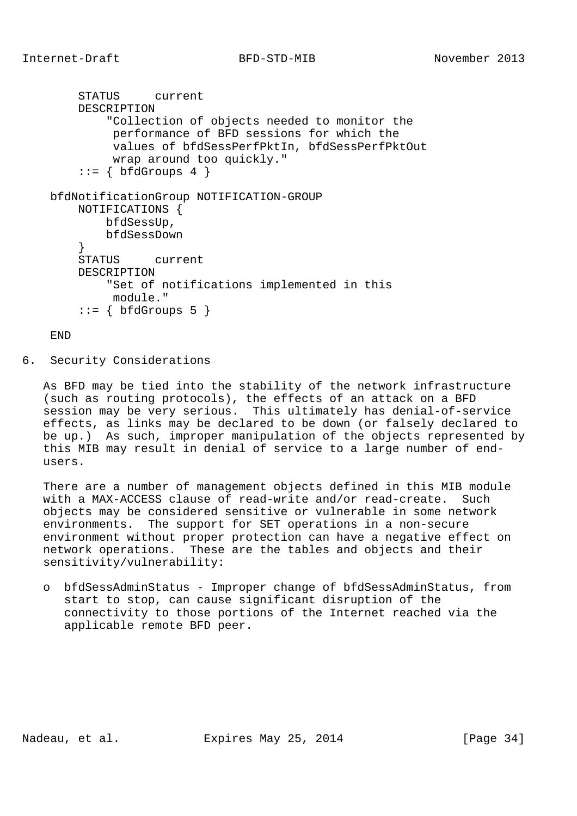```
 STATUS current
         DESCRIPTION
             "Collection of objects needed to monitor the
              performance of BFD sessions for which the
              values of bfdSessPerfPktIn, bfdSessPerfPktOut
              wrap around too quickly."
        ::= \{ \text{bfGrows } 4 \} bfdNotificationGroup NOTIFICATION-GROUP
         NOTIFICATIONS {
             bfdSessUp,
             bfdSessDown
 }
         STATUS current
         DESCRIPTION
             "Set of notifications implemented in this
             module."
        ::= \{ \text{bfGrows } 5 \}
```
## END

6. Security Considerations

 As BFD may be tied into the stability of the network infrastructure (such as routing protocols), the effects of an attack on a BFD session may be very serious. This ultimately has denial-of-service effects, as links may be declared to be down (or falsely declared to be up.) As such, improper manipulation of the objects represented by this MIB may result in denial of service to a large number of end users.

 There are a number of management objects defined in this MIB module with a MAX-ACCESS clause of read-write and/or read-create. Such objects may be considered sensitive or vulnerable in some network environments. The support for SET operations in a non-secure environment without proper protection can have a negative effect on network operations. These are the tables and objects and their sensitivity/vulnerability:

 o bfdSessAdminStatus - Improper change of bfdSessAdminStatus, from start to stop, can cause significant disruption of the connectivity to those portions of the Internet reached via the applicable remote BFD peer.

Nadeau, et al. Expires May 25, 2014 [Page 34]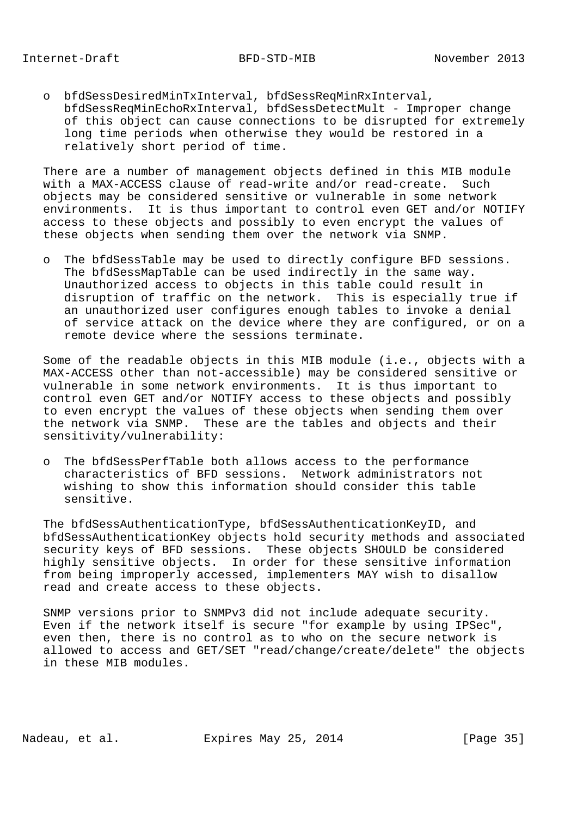o bfdSessDesiredMinTxInterval, bfdSessReqMinRxInterval, bfdSessReqMinEchoRxInterval, bfdSessDetectMult - Improper change of this object can cause connections to be disrupted for extremely long time periods when otherwise they would be restored in a relatively short period of time.

 There are a number of management objects defined in this MIB module with a MAX-ACCESS clause of read-write and/or read-create. Such objects may be considered sensitive or vulnerable in some network environments. It is thus important to control even GET and/or NOTIFY access to these objects and possibly to even encrypt the values of these objects when sending them over the network via SNMP.

 o The bfdSessTable may be used to directly configure BFD sessions. The bfdSessMapTable can be used indirectly in the same way. Unauthorized access to objects in this table could result in disruption of traffic on the network. This is especially true if an unauthorized user configures enough tables to invoke a denial of service attack on the device where they are configured, or on a remote device where the sessions terminate.

 Some of the readable objects in this MIB module (i.e., objects with a MAX-ACCESS other than not-accessible) may be considered sensitive or vulnerable in some network environments. It is thus important to control even GET and/or NOTIFY access to these objects and possibly to even encrypt the values of these objects when sending them over the network via SNMP. These are the tables and objects and their sensitivity/vulnerability:

 o The bfdSessPerfTable both allows access to the performance characteristics of BFD sessions. Network administrators not wishing to show this information should consider this table sensitive.

 The bfdSessAuthenticationType, bfdSessAuthenticationKeyID, and bfdSessAuthenticationKey objects hold security methods and associated security keys of BFD sessions. These objects SHOULD be considered highly sensitive objects. In order for these sensitive information from being improperly accessed, implementers MAY wish to disallow read and create access to these objects.

 SNMP versions prior to SNMPv3 did not include adequate security. Even if the network itself is secure "for example by using IPSec", even then, there is no control as to who on the secure network is allowed to access and GET/SET "read/change/create/delete" the objects in these MIB modules.

Nadeau, et al. Expires May 25, 2014 [Page 35]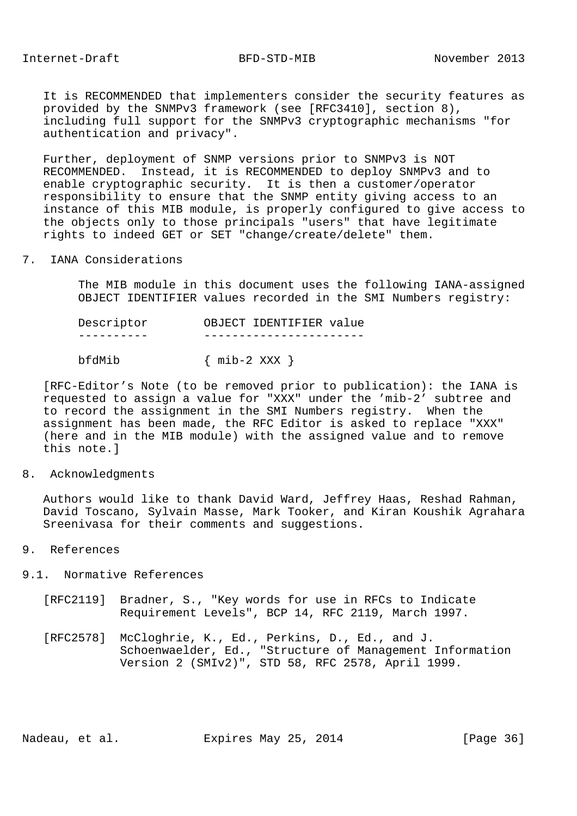It is RECOMMENDED that implementers consider the security features as provided by the SNMPv3 framework (see [RFC3410], section 8), including full support for the SNMPv3 cryptographic mechanisms "for authentication and privacy".

 Further, deployment of SNMP versions prior to SNMPv3 is NOT RECOMMENDED. Instead, it is RECOMMENDED to deploy SNMPv3 and to enable cryptographic security. It is then a customer/operator responsibility to ensure that the SNMP entity giving access to an instance of this MIB module, is properly configured to give access to the objects only to those principals "users" that have legitimate rights to indeed GET or SET "change/create/delete" them.

7. IANA Considerations

 The MIB module in this document uses the following IANA-assigned OBJECT IDENTIFIER values recorded in the SMI Numbers registry:

 Descriptor OBJECT IDENTIFIER value ---------- ---------------------- bfdMib { mib-2 XXX }

 [RFC-Editor's Note (to be removed prior to publication): the IANA is requested to assign a value for "XXX" under the 'mib-2' subtree and to record the assignment in the SMI Numbers registry. When the assignment has been made, the RFC Editor is asked to replace "XXX" (here and in the MIB module) with the assigned value and to remove this note.]

## 8. Acknowledgments

 Authors would like to thank David Ward, Jeffrey Haas, Reshad Rahman, David Toscano, Sylvain Masse, Mark Tooker, and Kiran Koushik Agrahara Sreenivasa for their comments and suggestions.

## 9. References

- 9.1. Normative References
	- [RFC2119] Bradner, S., "Key words for use in RFCs to Indicate Requirement Levels", BCP 14, RFC 2119, March 1997.
	- [RFC2578] McCloghrie, K., Ed., Perkins, D., Ed., and J. Schoenwaelder, Ed., "Structure of Management Information Version 2 (SMIv2)", STD 58, RFC 2578, April 1999.

Nadeau, et al. Expires May 25, 2014 [Page 36]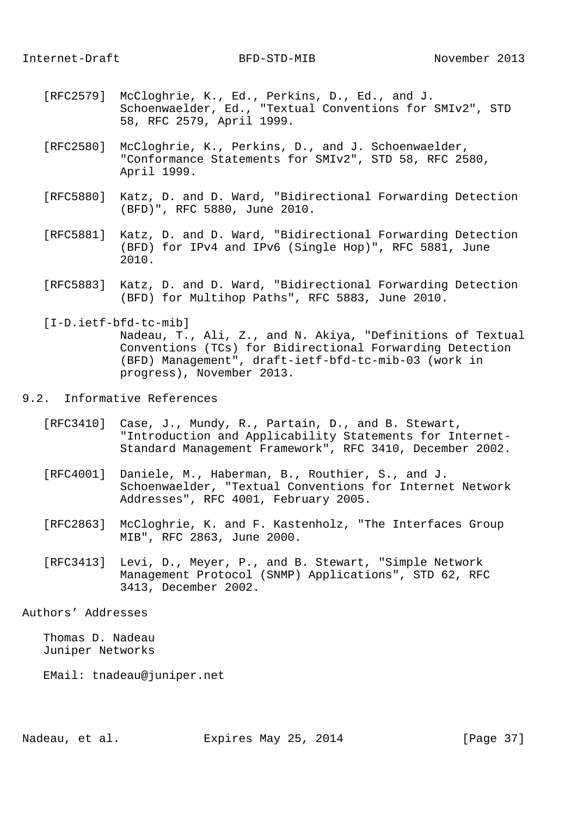- [RFC2579] McCloghrie, K., Ed., Perkins, D., Ed., and J. Schoenwaelder, Ed., "Textual Conventions for SMIv2", STD 58, RFC 2579, April 1999.
- [RFC2580] McCloghrie, K., Perkins, D., and J. Schoenwaelder, "Conformance Statements for SMIv2", STD 58, RFC 2580, April 1999.
- [RFC5880] Katz, D. and D. Ward, "Bidirectional Forwarding Detection (BFD)", RFC 5880, June 2010.
- [RFC5881] Katz, D. and D. Ward, "Bidirectional Forwarding Detection (BFD) for IPv4 and IPv6 (Single Hop)", RFC 5881, June 2010.
- [RFC5883] Katz, D. and D. Ward, "Bidirectional Forwarding Detection (BFD) for Multihop Paths", RFC 5883, June 2010.

 [I-D.ietf-bfd-tc-mib] Nadeau, T., Ali, Z., and N. Akiya, "Definitions of Textual Conventions (TCs) for Bidirectional Forwarding Detection (BFD) Management", draft-ietf-bfd-tc-mib-03 (work in progress), November 2013.

# 9.2. Informative References

- [RFC3410] Case, J., Mundy, R., Partain, D., and B. Stewart, "Introduction and Applicability Statements for Internet- Standard Management Framework", RFC 3410, December 2002.
- [RFC4001] Daniele, M., Haberman, B., Routhier, S., and J. Schoenwaelder, "Textual Conventions for Internet Network Addresses", RFC 4001, February 2005.
- [RFC2863] McCloghrie, K. and F. Kastenholz, "The Interfaces Group MIB", RFC 2863, June 2000.
- [RFC3413] Levi, D., Meyer, P., and B. Stewart, "Simple Network Management Protocol (SNMP) Applications", STD 62, RFC 3413, December 2002.

#### Authors' Addresses

 Thomas D. Nadeau Juniper Networks

EMail: tnadeau@juniper.net

Nadeau, et al. Expires May 25, 2014 [Page 37]